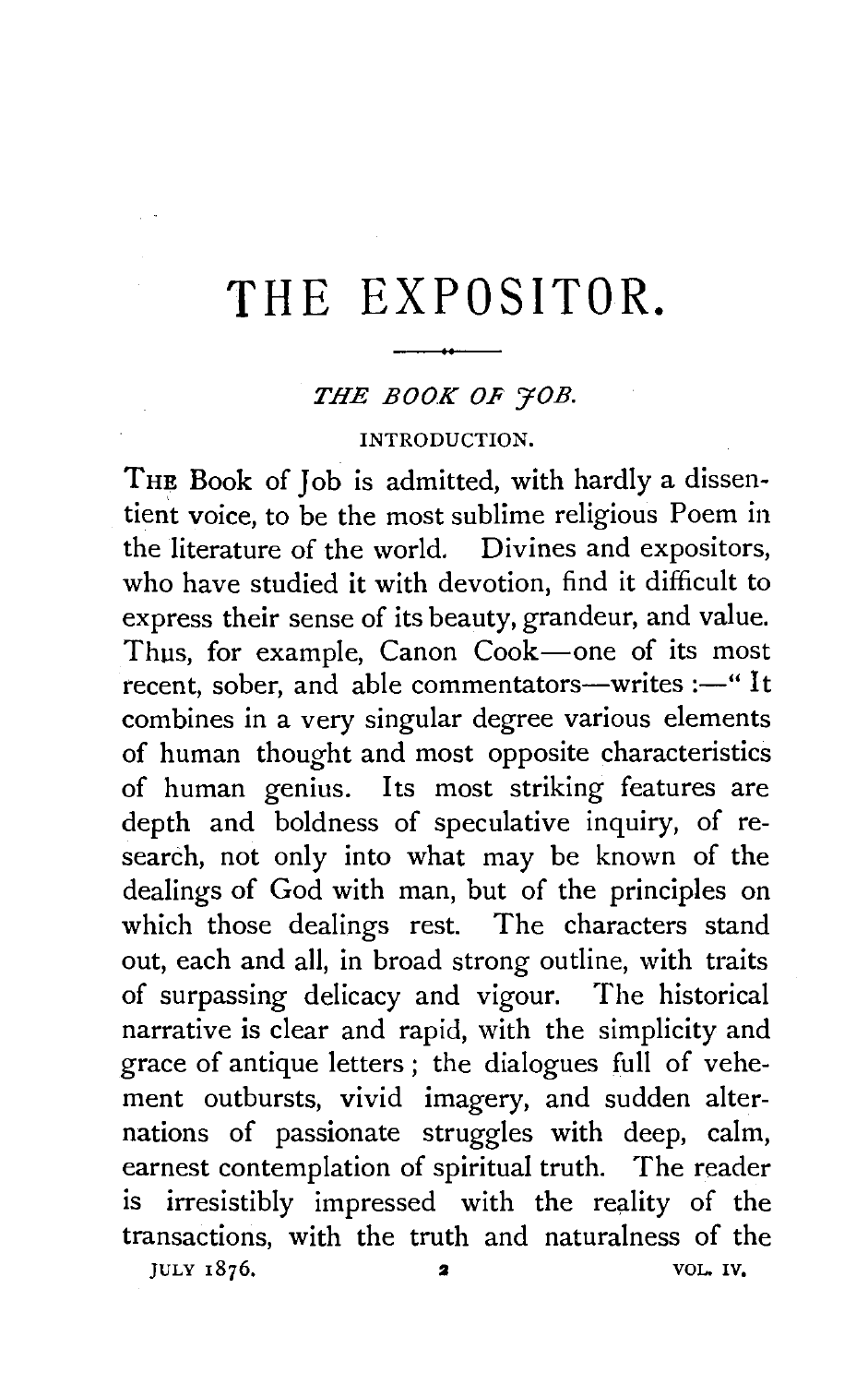# **THE EXPOSITOR.**

## *THE BOOK OF 70B.*

#### INTRODUCTION.

THE Book of Job is admitted, with hardly a dissentient voice, to be the most sublime religious Poem in the literature of the world. Divines and expositors, who have studied it with devotion, find it difficult to express their sense of its beauty, grandeur, and value. Thus, for example, Canon Cook-one of its most recent, sober, and able commentators—writes:—" It combines in a very singular degree various elements of human thought and most opposite characteristics of human genius. Its most striking features are depth and boldness of speculative inquiry, of research, not only into what may be known of the dealings of God with man, but of the principles on which those dealings rest. The characters stand out, each and all, in broad strong outline, with traits of surpassing delicacy and vigour. The historical narrative is clear and rapid, with the simplicity and grace of antique letters ; the dialogues full of vehement outbursts, vivid imagery, and sudden alternations of passionate struggles with deep, calm, earnest contemplation of spiritual truth. The reader is irresistibly impressed with the reality of the transactions, with the truth and naturalness of the  $JULY$  1876.  $2$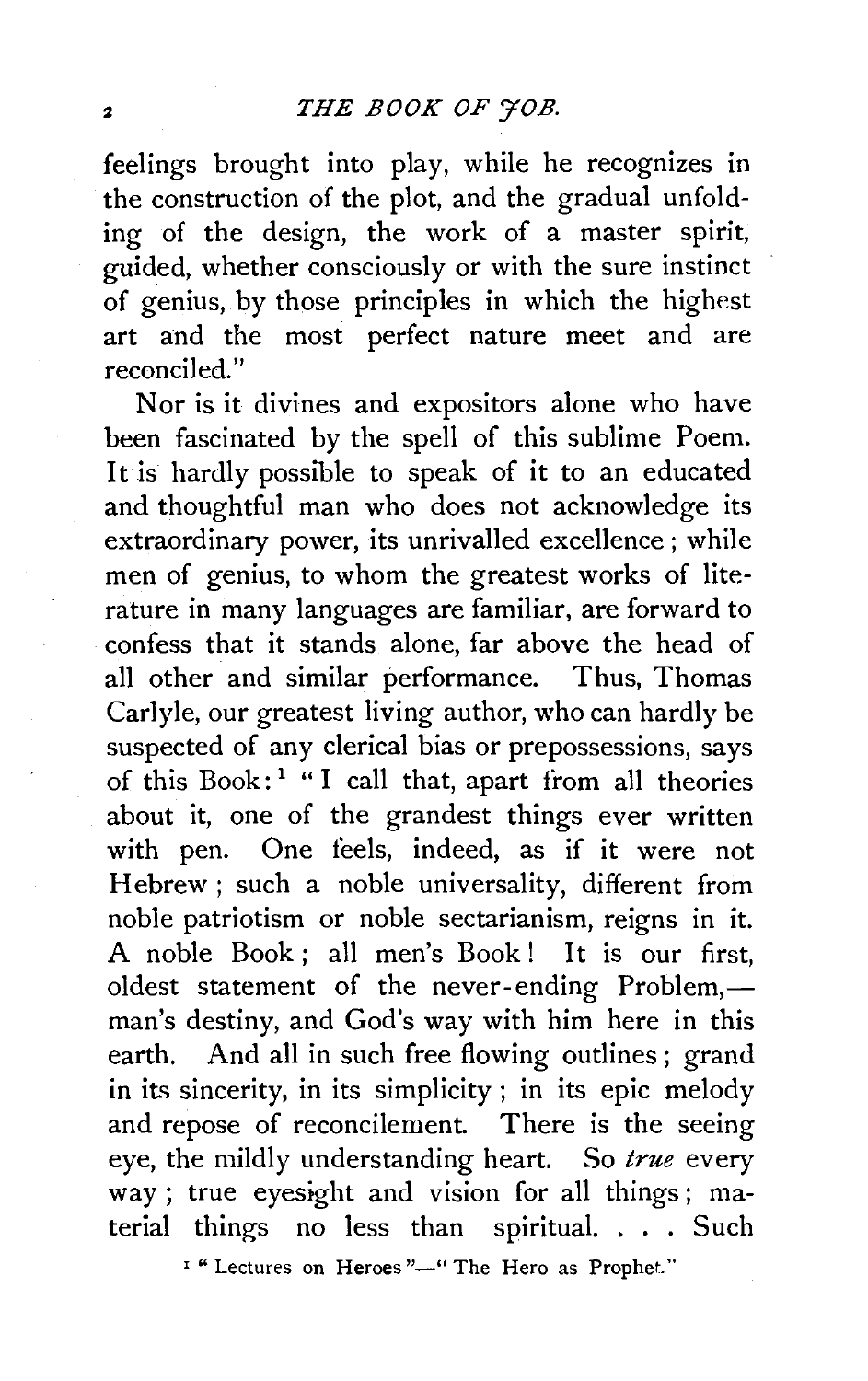feelings brought into play, while he recognizes in the construction of the plot, and the gradual unfolding of the design, the work of a master spirit, guided, whether consciously or with the sure instinct of genius, by those principles in which the highest art and the most perfect nature meet and are reconciled."

Nor is it divines and expositors alone who have been fascinated by the spell of this sublime Poem. It is hardly possible to speak of it to an educated and thoughtful man who does not acknowledge its extraordinary power, its unrivalled excellence ; while men of genius, to whom the greatest works of literature in many languages are familiar, are forward to confess that it stands alone, far above the head of all other and similar performance. Thus, Thomas Carlyle, our greatest living author, who can hardly be suspected of any clerical bias or prepossessions, says of this Book:<sup>1</sup> "I call that, apart from all theories about it, one of the grandest things ever written with pen. One feels, indeed, as if it were not Hebrew ; such a noble universality, different from noble patriotism or noble sectarianism, reigns in it. A noble Book; all men's Book! It is our first, oldest statement of the never-ending Problem,man's destiny, and God's way with him here in this earth. And all in such free flowing outlines ; grand in its sincerity, in its simplicity ; in its epic melody and repose of reconcilement. There is the seeing eye, the mildly understanding heart. So true every way ; true eyesight and vision for all things ; material things no less than spiritual. . . . Such

<sup>1</sup> " Lectures on Heroes "-" The Hero as Prophet."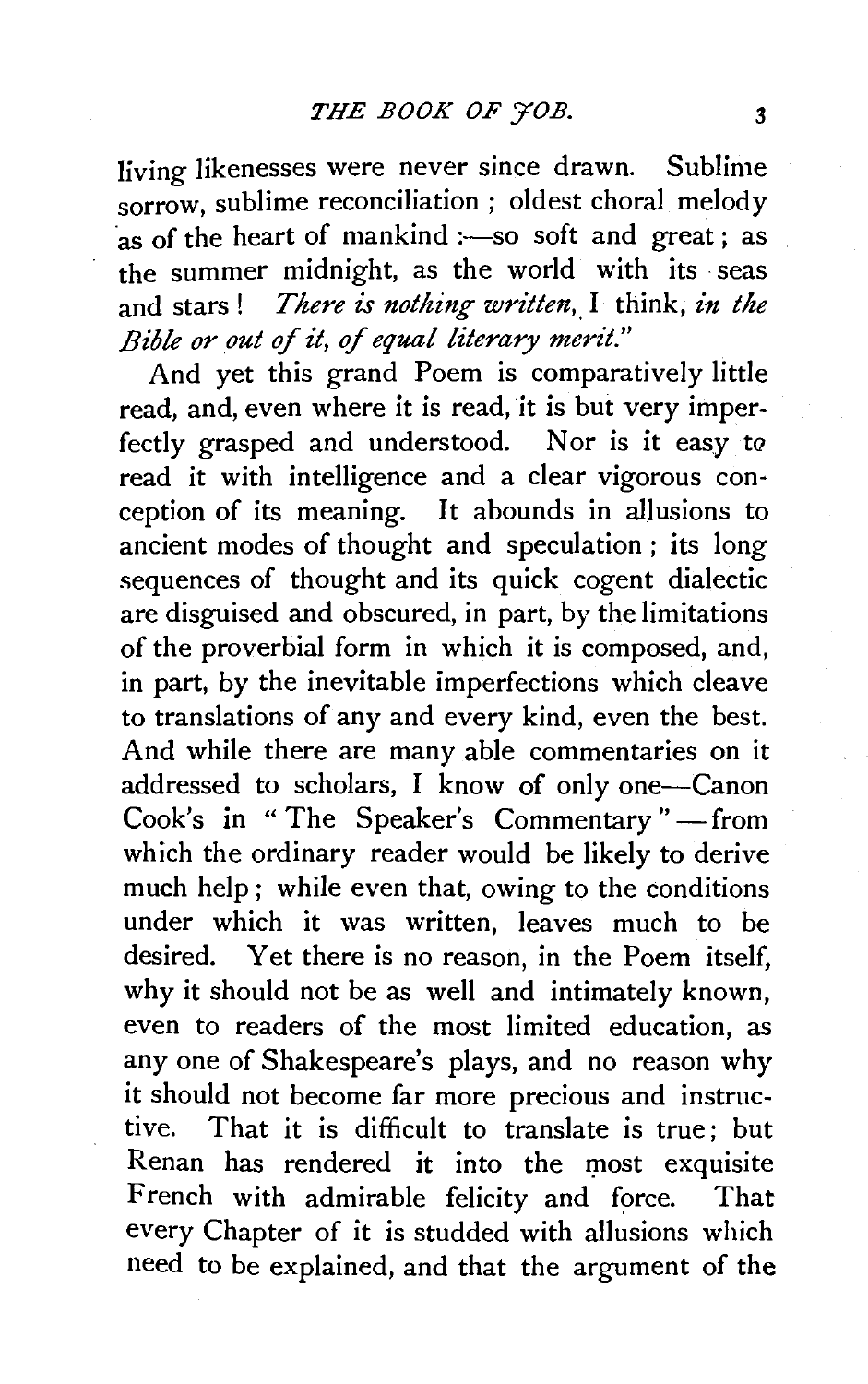Jiving likenesses were never since drawn. Sublime sorrow, sublime reconciliation ; oldest choral melody  $\frac{1}{25}$  of the heart of mankind :-so soft and great ; as the summer midnight, as the world with its seas and stars! *There is nothing written*, I think, *in the Bible or out* of *it,* of *equal literary merit."* 

And yet this grand Poem is comparatively little read, and, even where it is read, it is but very imperfectly grasped and understood. Nor is it easy to read it with intelligence and a clear vigorous conception of its meaning. It abounds in allusions to ancient modes of thought and speculation ; its long sequences of thought and its quick cogent dialectic are disguised and obscured, in part, by the limitations of the proverbial form in which it is composed, and, in part, by the inevitable imperfections which cleave to translations of any and every kind, even the best. And while there are many able commentaries on it addressed to scholars, I know of only one-Canon Cook's in "The Speaker's Commentary" -- from which the ordinary reader would be likely to derive much help ; while even that, owing to the conditions under which it was written, leaves much to be desired. Yet there is no reason, in the Poem itself, why it should not be as well and intimately known, even to readers of the most limited education, as any one of Shakespeare's plays, and no reason why it should not become far more precious and instructive. That it is difficult to translate is true; but Renan has rendered it into the most exquisite French with admirable felicity and force. That every Chapter of it is studded with allusions which need to be explained, and that the argument of the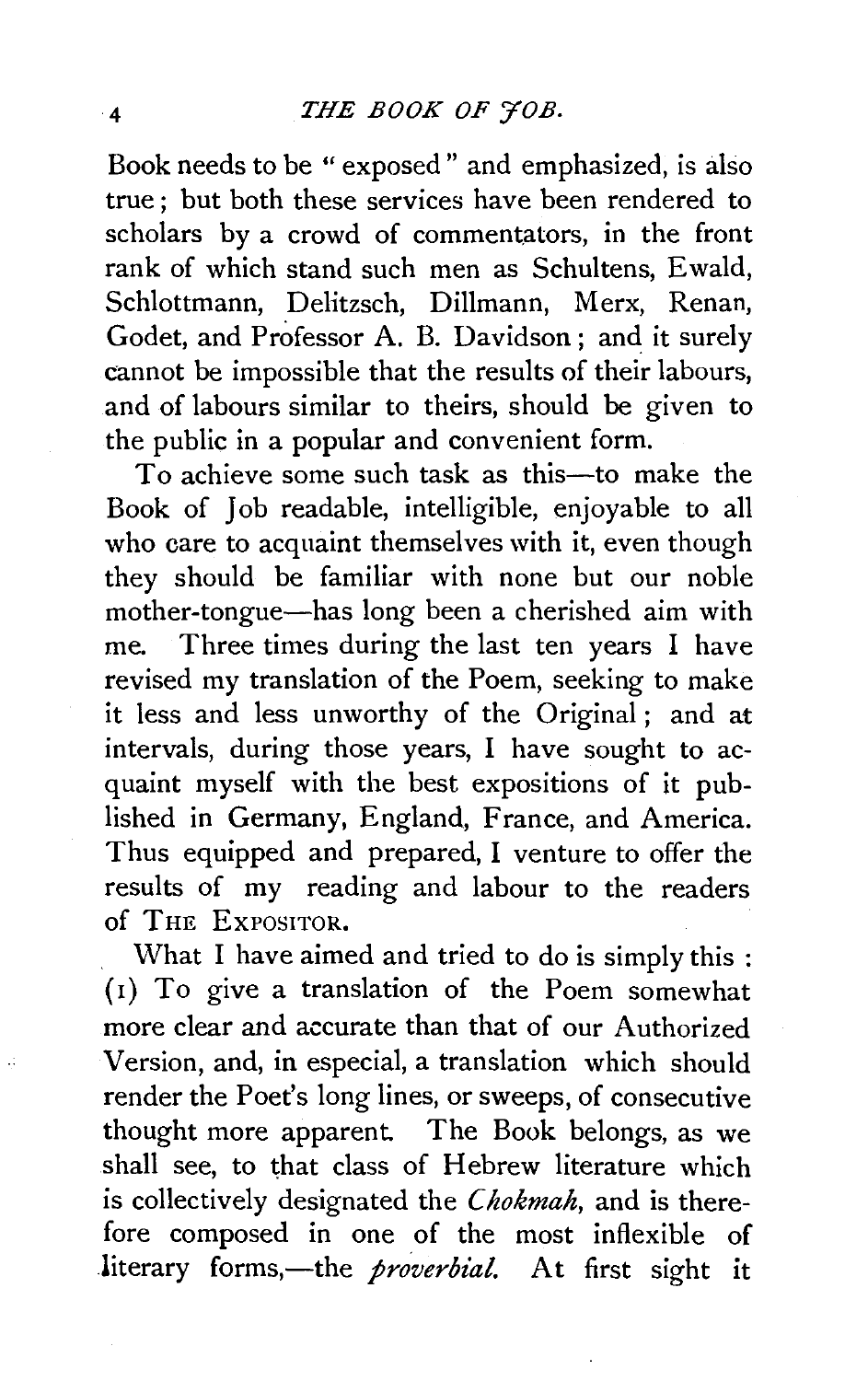Book needs to be "exposed" and emphasized, is also true; but both these services have been rendered to scholars by a crowd of commentators, in the front rank of which stand such men as Schultens, Ewald, Schlottmann, Delitzsch, Dillmann, Merx, Renan, Godet, and Professor A. B. Davidson; and it surely cannot be impossible that the results of their labours, and of labours similar to theirs, should be given to the public in a popular and convenient form.

To achieve some such task as this-to make the Book of Job readable, intelligible, enjoyable to all who care to acquaint themselves with it, even though they should be familiar with none but our noble mother-tongue-has long been a cherished aim with me. Three times during the last ten years I have revised my translation of the Poem, seeking to make it less and less unworthy of the Original ; and at intervals, during those years, I have sought to acquaint myself with the best expositions of it published in Germany, England, France, and America. Thus equipped and prepared, I venture to offer the results of my reading and labour to the readers of THE ExPOSITOR.

What I have aimed and tried to do is simply this : (1) To give a translation of the Poem somewhat more clear and accurate than that of our Authorized Version, and, in especial, a translation which should render the Poet's long lines, or sweeps, of consecutive thought more apparent. The Book belongs, as we shall see, to that class of Hebrew literature which is collectively designated the *Chokmah,* and is therefore composed in one of the most inflexible of literary forms,-the *proverbial*. At first sight it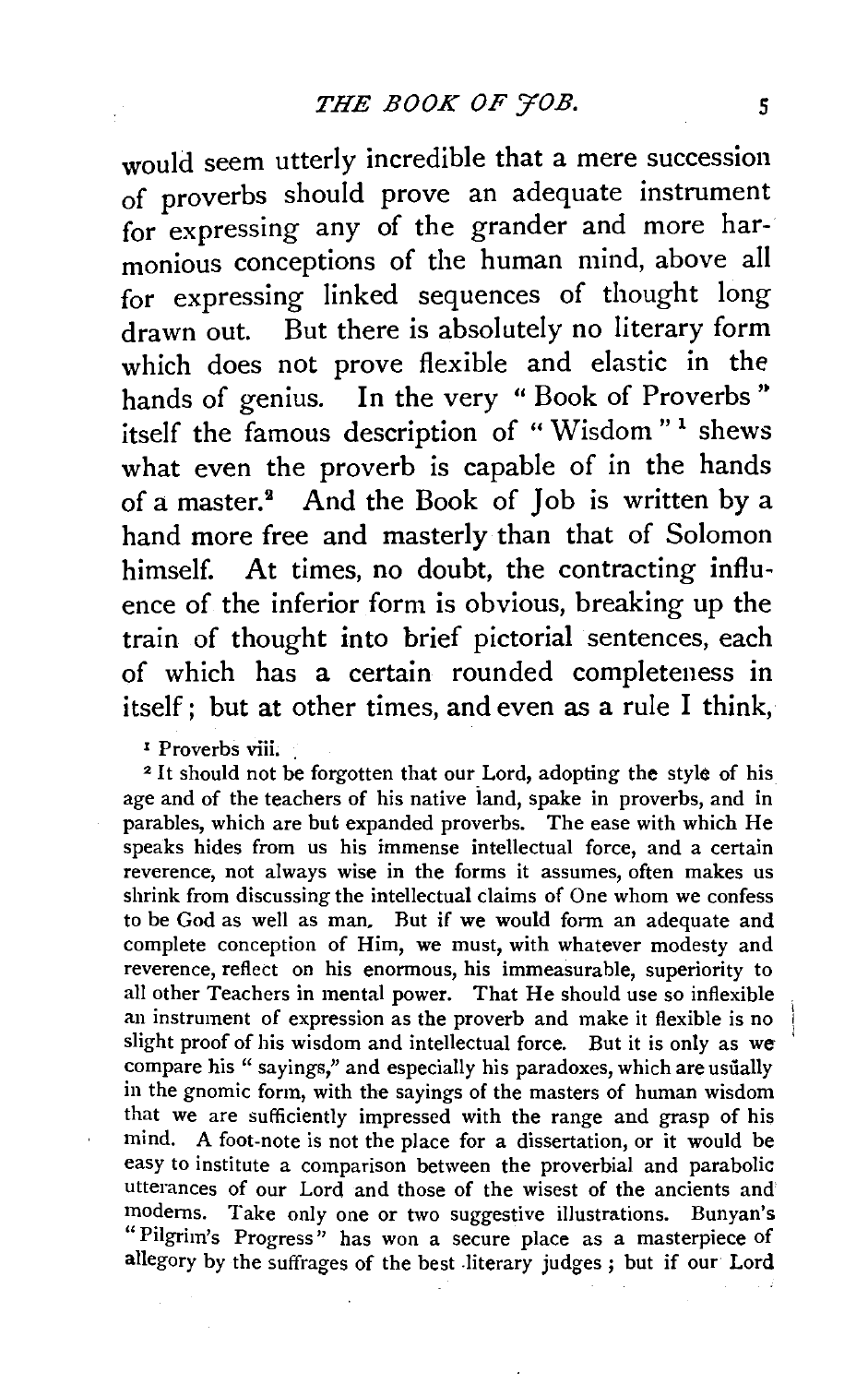would seem utterly incredible that a mere succession of proverbs should prove an adequate instrument for expressing any of the grander and more harmonious conceptions of the human mind, above all for expressing linked sequences of thought long drawn out. But there is absolutely no literary form which does not prove flexible and elastic in the hands of genius. In the very "Book of Proverbs" itself the famous description of "Wisdom"<sup>1</sup> shews what even the proverb is capable of in the hands of a master.<sup>2</sup> And the Book of Job is written by a hand more free and masterly than that of Solomon himself. At times, no doubt, the contracting influence of the inferior form is obvious, breaking up the train of thought into brief pictorial sentences, each of which has a certain rounded completeness in itself; but at other times, and even as a rule I think,

<sup>1</sup> Proverbs viii.

<sup>2</sup> It should not be forgotten that our Lord, adopting the style of his age and of the teachers of his native iand, spake in proverbs, and in parables, which are but expanded proverbs. The ease with which He speaks hides from us his immense intellectual force, and a certain reverence, not always wise in the forms it assumes, often makes us shrink from discussing the intellectual claims of One whom we confess to be God as well as man. Rut if we would form an adequate and complete conception of Him, we must, with whatever modesty and reverence, reflect on his enormous, his immeasurable, superiority to all other Teachers in mental power. That He should use so inflexible an instrument of expression as the proverb and make it flexible is no slight proof of his wisdom and intellectual force. But it is only as we compare his " sayings," and especially his paradoxes, which are usually in the gnomic form, with the sayings of the masters of human wisdom that we are sufficiently impressed with the range and grasp of his mind. A foot-note is not the place for a dissertation, or it would be easy to institute a comparison between the proverbial and parabolic utterances of our Lord and those of the wisest of the ancients and modems. Take only one or two suggestive illustrations. Bunyan's "Pilgrim's Progress" has won a secure place as a masterpiece of allegory by the suffrages of the best .literary judges ; but if our Lord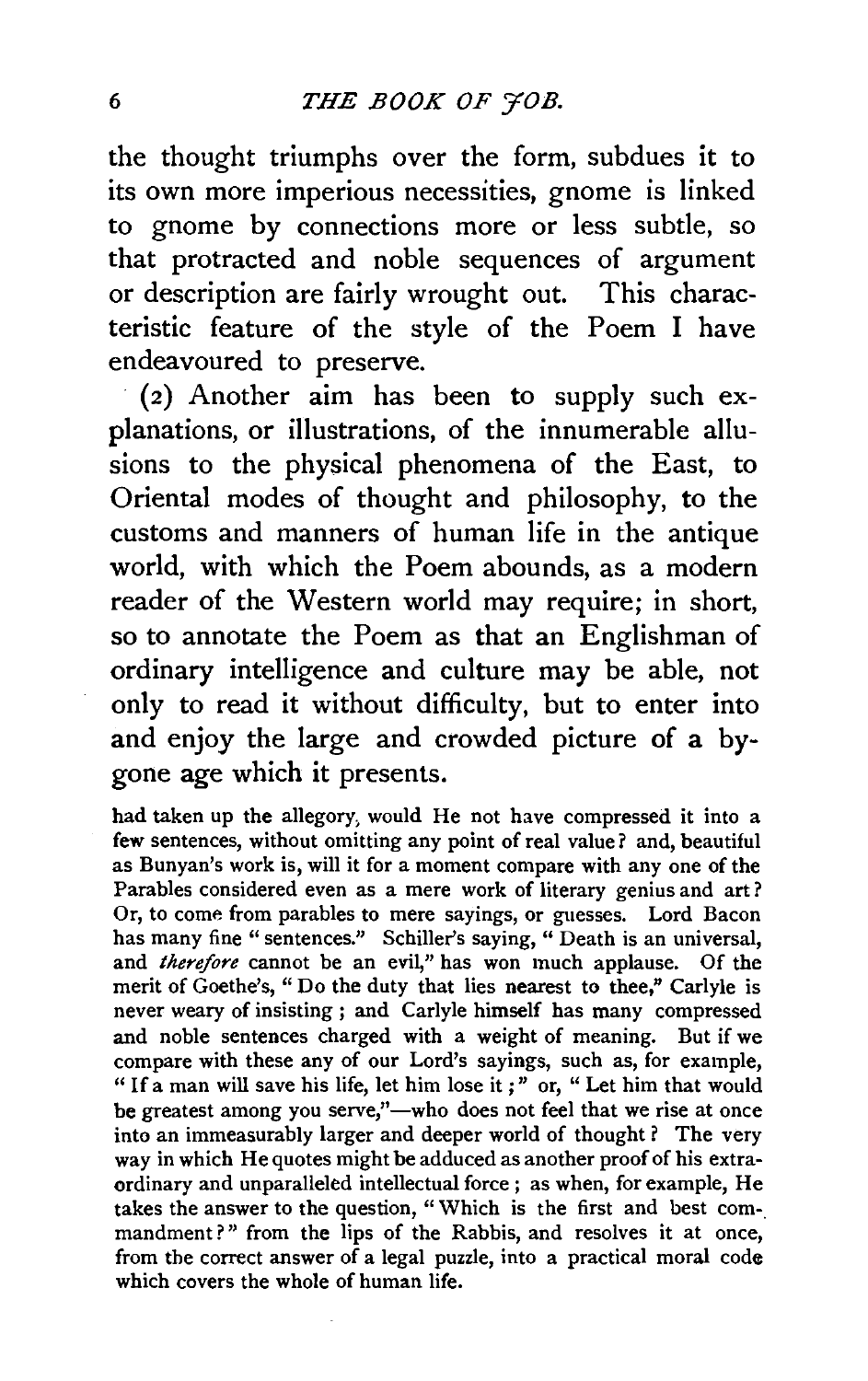the thought triumphs over the form, subdues it to its own more imperious necessities, gnome is linked to gnome by connections more or less subtle, so that protracted and noble sequences of argument or description are fairly wrought out. This characteristic feature of the style of the Poem I have endeavoured to preserve.

 $(2)$  Another aim has been to supply such explanations, or illustrations, of the innumerable allusions to the physical phenomena of the East, to Oriental modes of thought and philosophy, to the customs and manners of human life in the antique world, with which the Poem abounds, as a modern reader of the Western world may require; in short, so to annotate the Poem as that an Englishman of ordinary intelligence and culture may be able, not only to read it without difficulty, but to enter into and enjoy the large and crowded picture of a bygone age which it presents.

had taken up the allegory, would He not have compressed it into a few sentences, without omitting any point of real value? and, beautiful as Bunyan's work is, will it for a moment compare with any one of the Parables considered even as a mere work of literary genius and art? Or, to come from parables to mere sayings, or guesses. Lord Bacon has many fine " sentences." Schiller's saying, " Death is an universal, and *therefore* cannot be an evil," has won much applause. Of the merit of Goethe's, "Do the duty that lies nearest to thee," Carlyle is never weary of insisting; and Carlyle himself has many compressed and noble sentences charged with a weight of meaning. But if we compare with these any of our Lord's sayings, such as, for example, " If a man will save his life, let him lose it ; " or, " Let him that would be greatest among you serve,"—who does not feel that we rise at once into an immeasurably larger and deeper world of thought ? The very way in which He quotes might be adduced as another proof of his extraordinary and unparalleled intellectual force ; as when, for example, He takes the answer to the question, "Which is the first and best commandment?" from the lips of the Rabbis, and resolves it at once, from the correct answer of a legal puzzle, into a practical moral code which covers the whole of human life.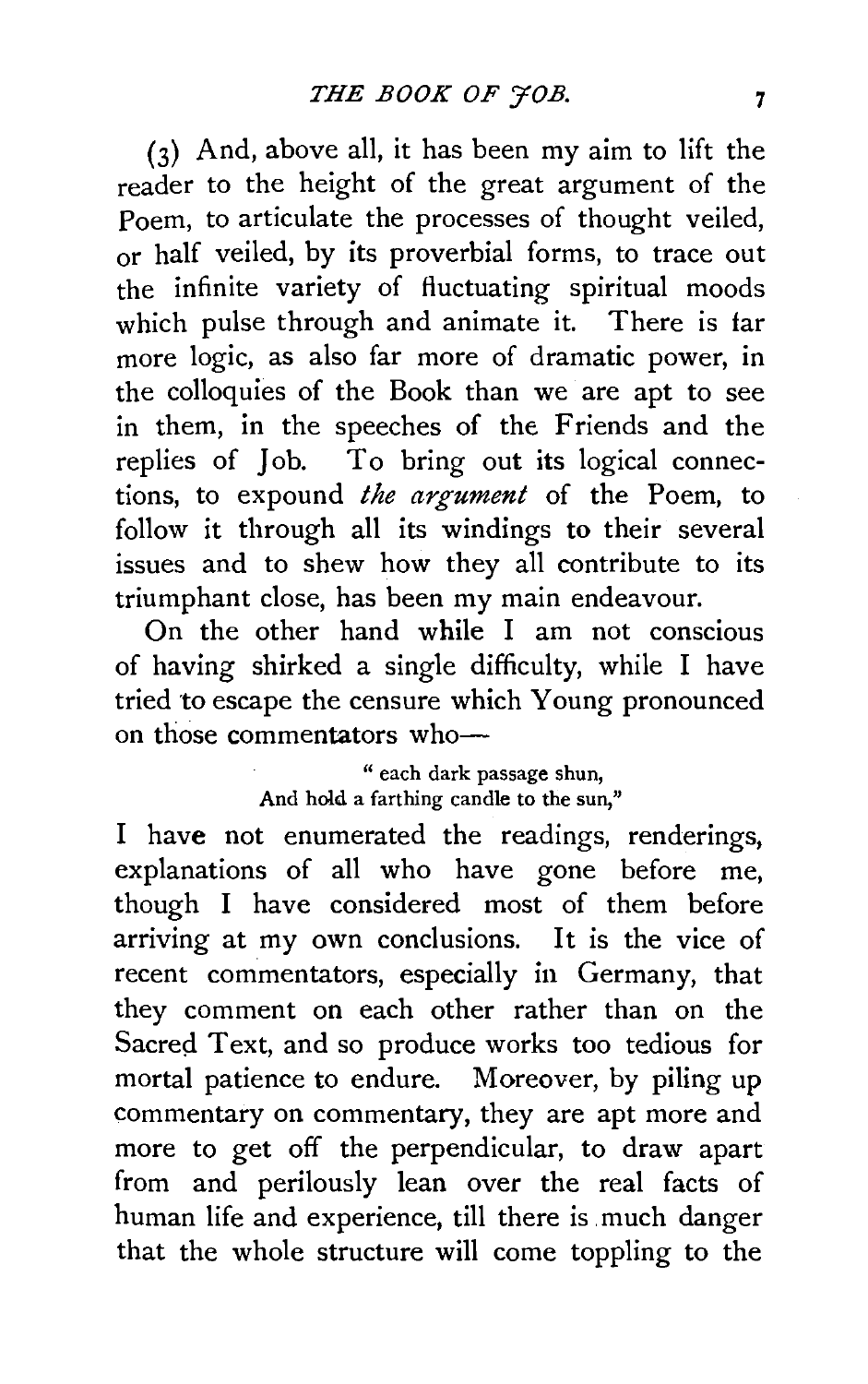(3) And, above all, it has been my aim to lift the reader to the height of the great argument of the Poem, to articulate the processes of thought veiled, or half veiled, by its proverbial forms, to trace out the infinite variety of fluctuating spiritual moods which pulse through and animate it. There is far more logic, as also far more of dramatic power, in the colloquies of the Book than we are apt to see in them, in the speeches of the Friends and the replies of Job. To bring out its logical connections, to expound *the argument* of the Poem, to follow it through all its windings to their several issues and to shew how they all contribute to its triumphant close, has been my main endeavour.

On the other hand while I am not conscious of having shirked a single difficulty, while I have tried to escape the censure which Young pronounced on those commentators who-

> " each dark passage shun, And hold a farthing candle to the sun,"

I have not enumerated the readings, renderings, explanations of all who have gone before me, though I have considered most of them before arriving at my own conclusions. It is the vice of recent commentators, especially in Germany, that they comment on each other rather than on the Sacred Text, and so produce works too tedious for mortal patience to endure. Moreover, by piling up commentary on commentary, they are apt more and more to get off the perpendicular, to draw apart from and perilously lean over the real facts of human life and experience, till there is. much danger that the whole structure will come toppling to the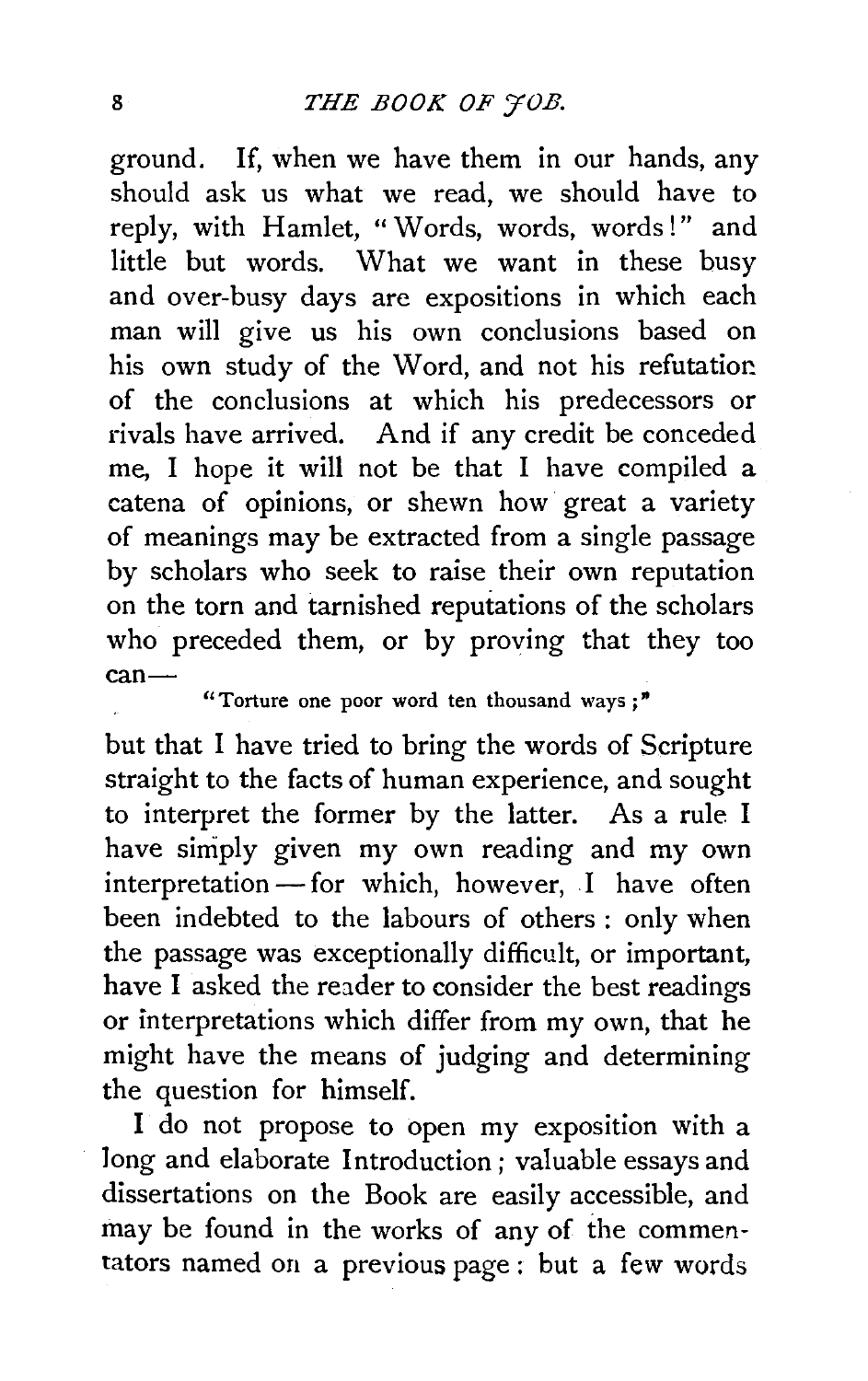ground. If, when we have them in our hands, any should ask us what we read, we should have to reply, with Hamlet, " Words, words, words!" and little but words. What we want in these busy and over-busy days are expositions in which each man will give us his own conclusions based on his own study of the Word, and not his refutation. of the conclusions at which his predecessors or rivals have arrived. And if any credit be conceded me, I hope it will not be that I have compiled a catena of opinions, or shewn how great a variety of meanings may be extracted from a single passage by scholars who seek to raise their own reputation on the torn and tarnished reputations of the scholars who preceded them, or by proving that they too can-

"Torture one poor word ten thousand ways *;* "

but that I have tried to bring the words of Scripture straight to the facts of human experience, and sought to interpret the former by the latter. As a rule I have simply given my own reading and my own  $interpretation$ —for which, however, I have often been indebted to the labours of others : only when the passage was exceptionally difficult, or important, have I asked the reader to consider the best readings or interpretations which differ from my own, that he might have the means of judging and determining the question for himself.

I do not propose to open my exposition with a long and elaborate Introduction; valuable essays and dissertations on the Book are easily accessible, and may be found in the works of any of the commentators named on a previous page : but a few words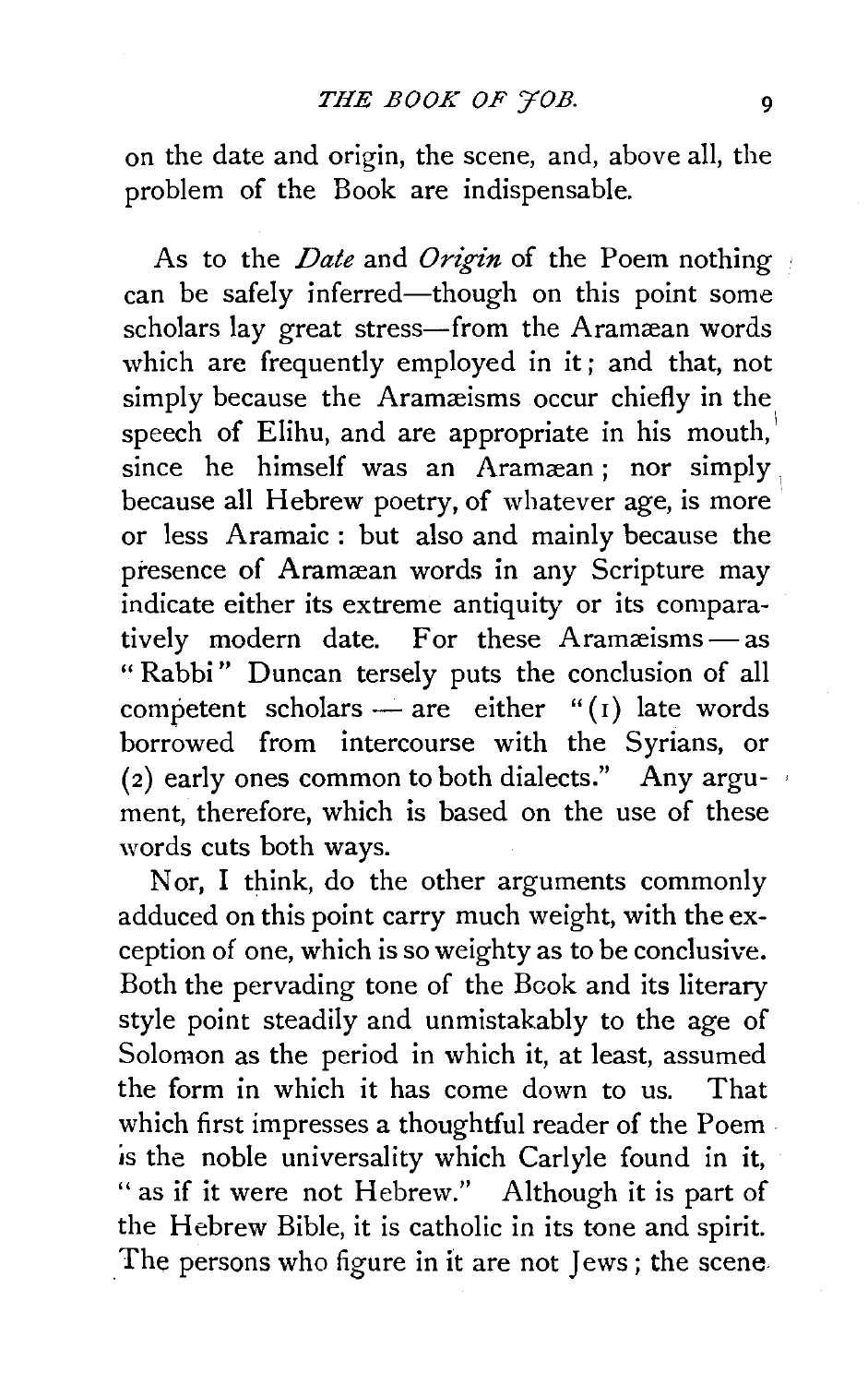on the date and origin, the scene, and, above all, the problem of the Book are indispensable.

As to the *Date* and *Origin* of the Poem nothing can be safely inferred—though on this point some scholars lay great stress-from the Aramæan words which are frequently employed in it; and that, not simply because the Aramæisms occur chiefly in the speech of Elihu, and are appropriate in his mouth,  $since$  he himself was an Aramæan; nor simply because all Hebrew poetry, of whatever age, is more or less Aramaic: but also and mainly because the presence of Aramæan words in any Scripture may indicate either its extreme antiquity or its comparatively modern date. For these  $A$ ramæisms $-$ as " Rabbi" Duncan tersely puts the conclusion of all competent scholars - are either " $(i)$  late words borrowed from intercourse with the Syrians, or (2) early ones common to both dialects." Any argument, therefore, which is based on the use of these words cuts both ways.

Nor, I think, do the other arguments commonly adduced on this point carry much weight, with the exception of one, which is so weighty as to be conclusive. Both the pervading tone of the Book and its literary style point steadily and unmistakably to the age of Solomon as the period in which it, at least, assumed the form in which it has come down to us. That which first impresses a thoughtful reader of the Poemis the noble universality which Carlyle found in it, " as if it were not Hebrew." Although it is part of the Hebrew Bible, it is catholic in its tone and spirit. The persons who figure in it are not Jews ; the scene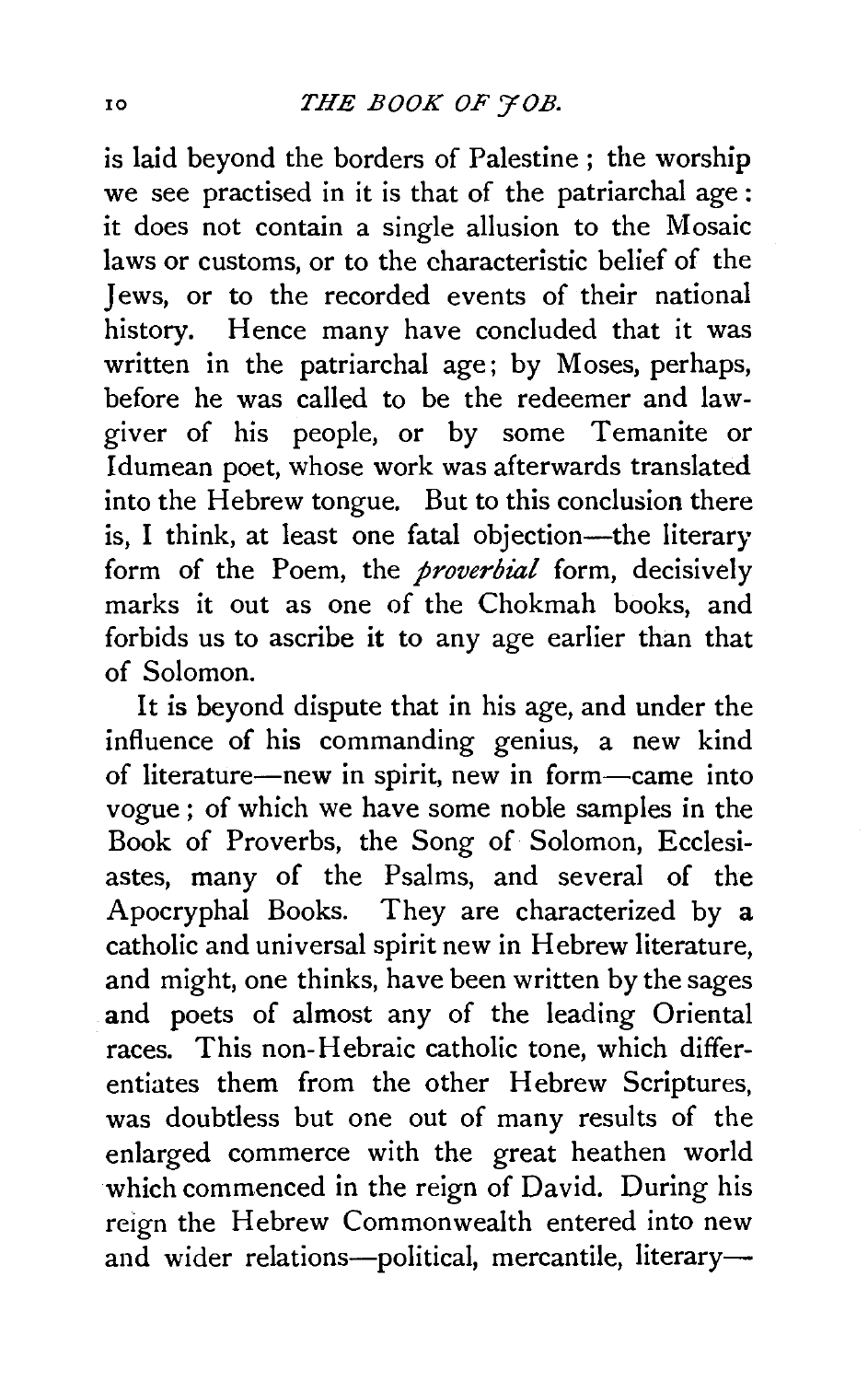is laid beyond the borders of Palestine ; the worship we see practised in it is that of the patriarchal age: it does not contain a single allusion to the Mosaic laws or customs, or to the characteristic belief of the Jews, or to the recorded events of their national history. Hence many have concluded that it was written in the patriarchal age; by Moses, perhaps, before he was called to be the redeemer and lawgiver of his people, or by some Temanite or Idumean poet, whose work was afterwards translated into the Hebrew tongue. But to this conclusion there is. I think, at least one fatal objection-the literary form of the Poem, the *proverbial* form, decisively marks it out as one of the Chokmah books, and forbids us to ascribe it to any age earlier than that of Solomon.

It is beyond dispute that in his age, and under the influence of his commanding genius, a new kind of literature-new in spirit, new in form-came into vogue ; of which we have some noble samples in the Book of Proverbs, the Song of Solomon, Ecclesiastes, many of the Psalms, and several of the Apocryphal Books. They are characterized by a catholic and universal spirit new in Hebrew literature, and might, one thinks, have been written by the sages and poets of almost any of the leading Oriental races. This non-Hebraic catholic tone, which differentiates them from the other Hebrew Scriptures, was doubtless but one out of many results of the enlarged commerce with the great heathen world which commenced in the reign of David. During his reign the Hebrew Commonwealth entered into new and wider relations-political, mercantile, literary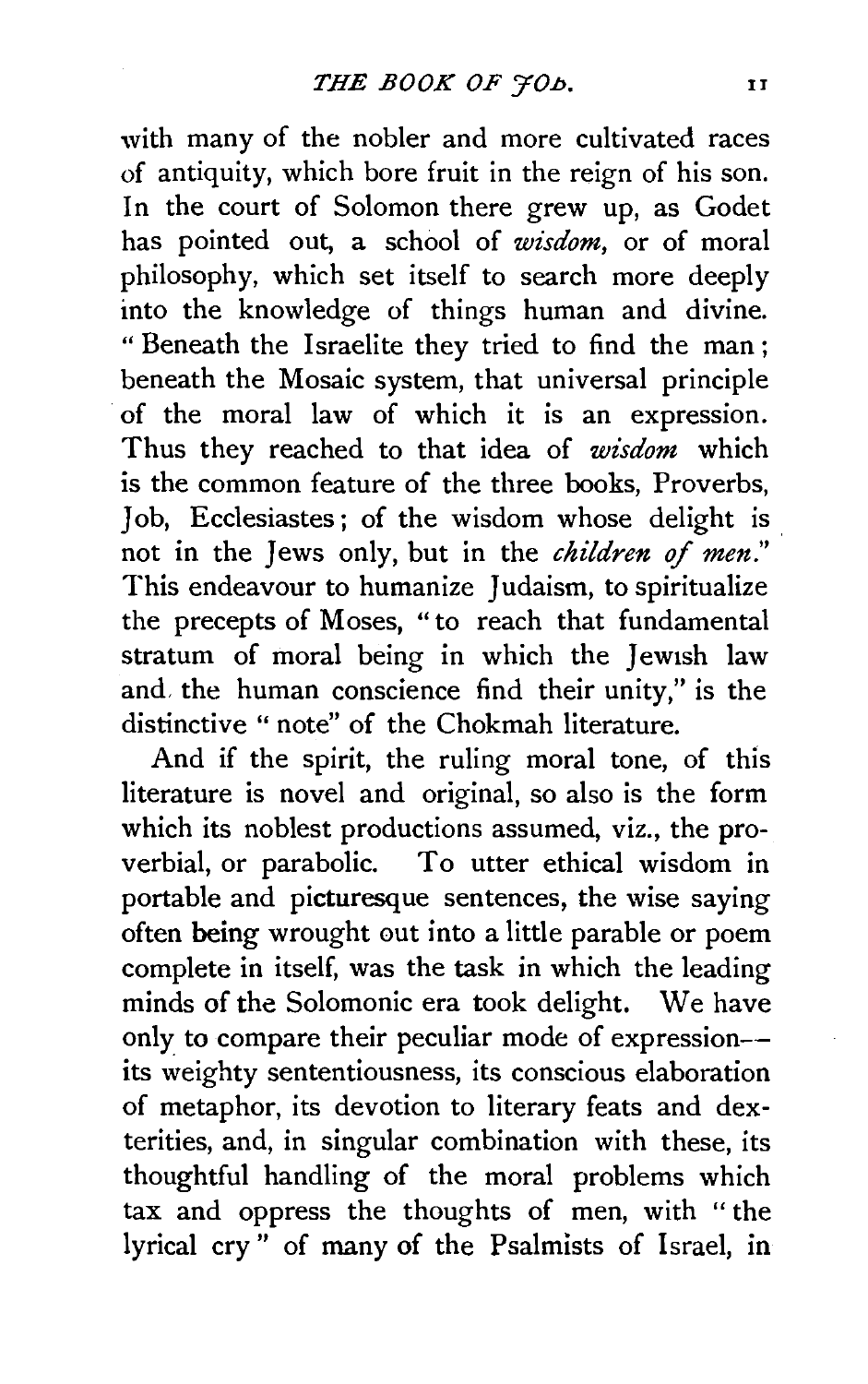with many of the nobler and more cultivated races of antiquity, which bore fruit in the reign of his son. In the court of Solomon there grew up, as Godet has pointed out, a school of *wisdom,* or of moral philosophy, which set itself to search more deeply into the knowledge of things human and divine. "Beneath the Israelite they tried to find the man; beneath the Mosaic system, that universal principle of the moral law of which it is an expression. Thus they reached to that idea of *wisdom* which is the common feature of the three books, Proverbs, Job, Ecclesiastes; of the wisdom whose delight is not in the Jews only, but in the *children* of *men."*  This endeavour to humanize Judaism, to spiritualize the precepts of Moses, " to reach that fundamental stratum of moral being in which the Jewish law and. the human conscience find their unity," is the distinctive " note" of the Chokmah literature.

And if the spirit, the ruling moral tone, of this literature is novel and original, so also is the form which its noblest productions assumed, viz., the proverbial, or parabolic. To utter ethical wisdom in portable and picturesque sentences, the wise saying often being wrought out into a little parable or poem complete in itself, was the task in which the leading minds of the Solomonic era took delight. We have only to compare their peculiar mode of expression- its weighty sententiousness, its conscious elaboration of metaphor, its devotion to literary feats and dexterities, and, in singular combination with these, its thoughtful handling of the moral problems which tax and oppress the thoughts of men, with "the lyrical cry " of many of the Psalmists of Israel, in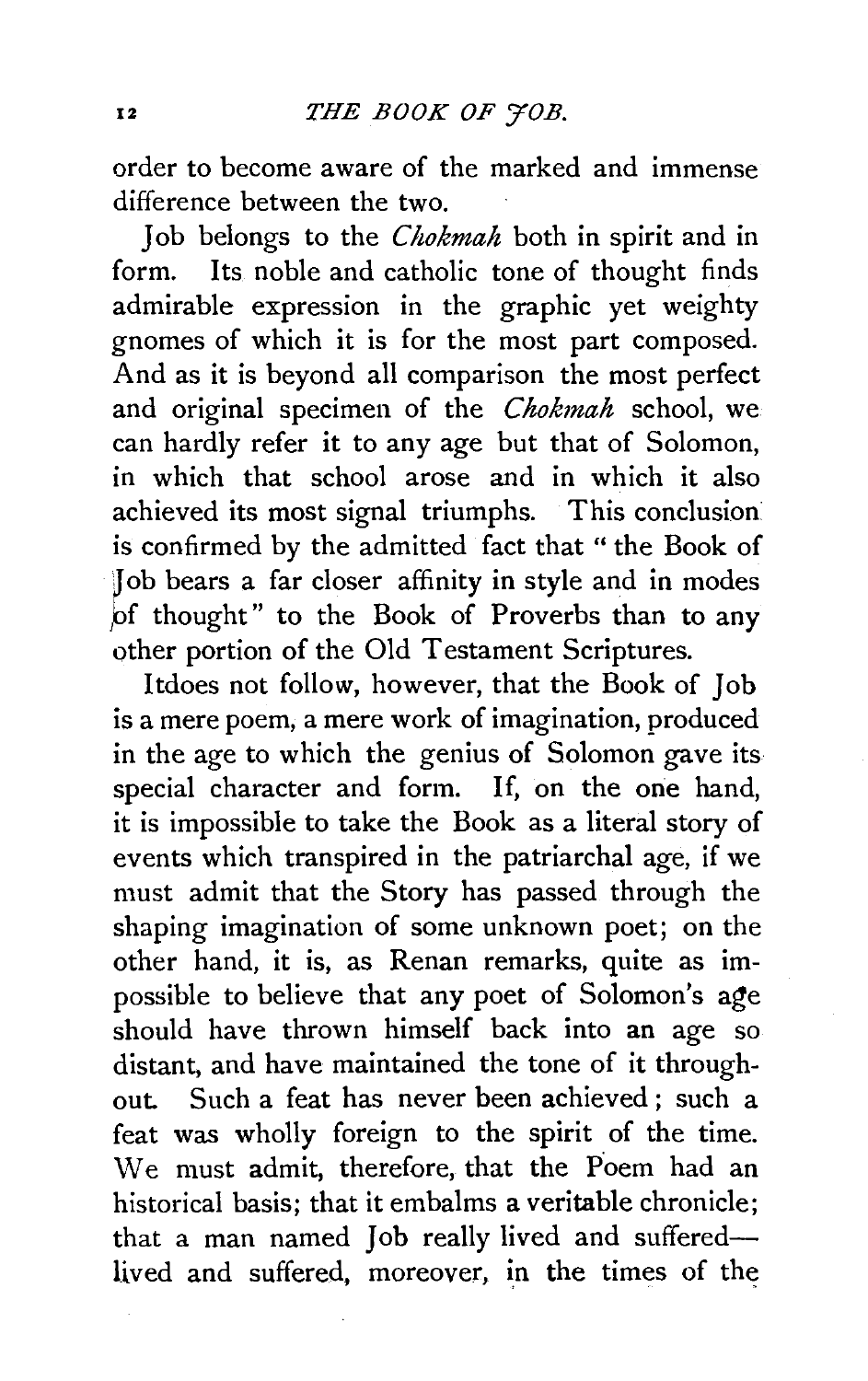order to become aware of the marked and immense difference between the two.

Job belongs to the *Chokmah* both in spirit and in<br>form Its noble and catholic tone of thought finds Its noble and catholic tone of thought finds admirable expression in the graphic yet weighty gnomes of which it is for the most part composed. And as it is beyond all comparison the most perfect and original specimen of the *Chokmah* school, we can hardly refer it to any age but that of Solomon, in which that school arose and in which it also achieved its most signal triumphs. This conclusion is confirmed by the admitted fact that " the Book of Job bears a far closer affinity in style and in modes of thought" to the Book of Proverbs than to any other portion of the Old Testament Scriptures.

ltdoes not follow, however, that the Book of Job is a mere poem, a mere work of imagination, produced in the age to which the genius of Solomon gave its special character and form. If, on the one hand, it is impossible to take the Book as a literal story of events which transpired in the patriarchal age, if we must admit that the Story has passed through the shaping imagination of some unknown poet; on the other hand, it is, as Renan remarks, quite as impossible to believe that any poet of Solomon's age should have thrown himself back into an age so distant, and have maintained the tone of it throughout. Such a feat has never been achieved ; such a feat was wholly foreign to the spirit of the time. We must admit, therefore, that the Poem had an historical basis; that it embalms a veritable chronicle; that a man named Job really lived and sufferedlived and suffered, moreover, in the times of the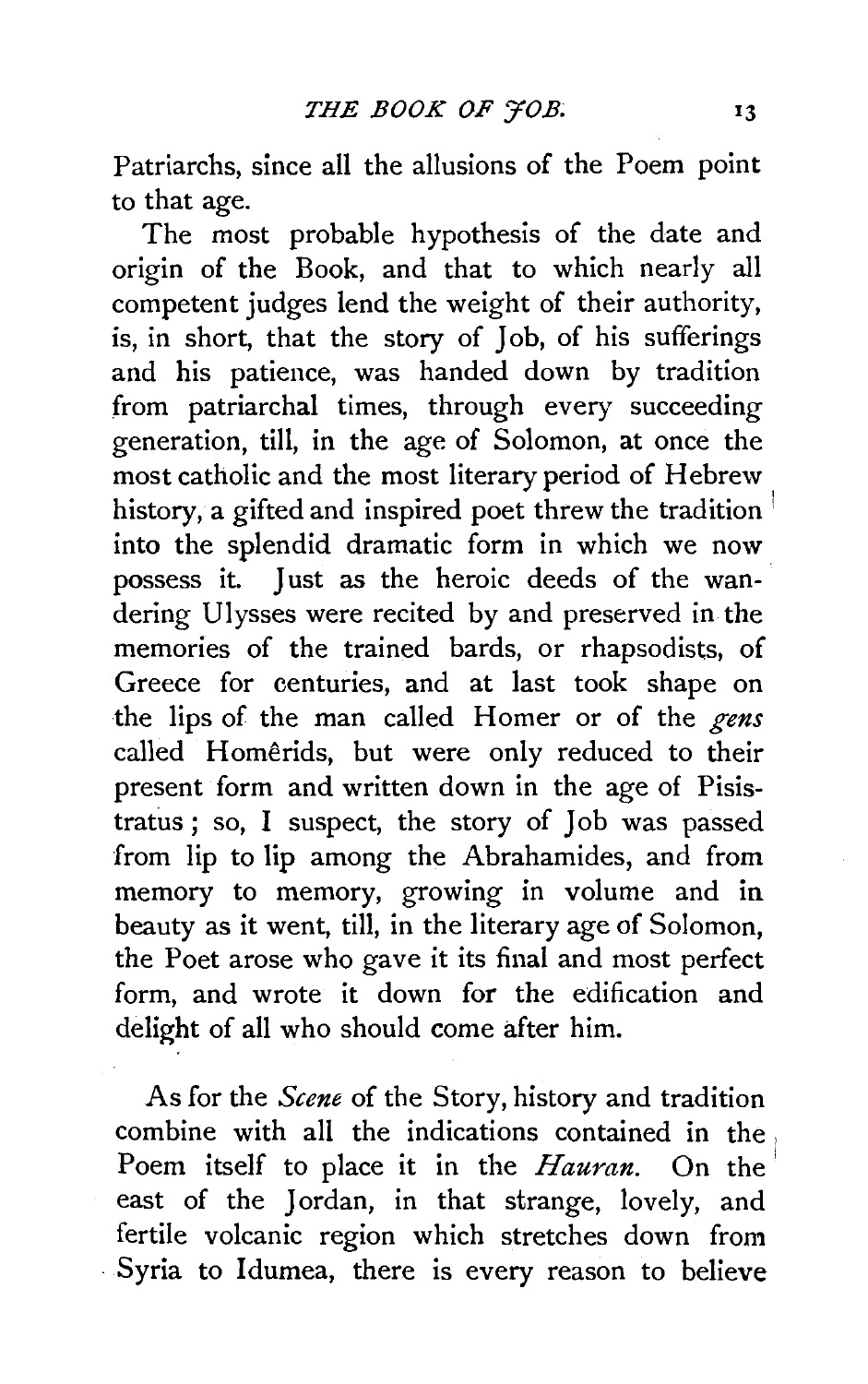Patriarchs, since all the allusions of the Poem point to that age.

The most probable hypothesis of the date and origin of the Book, and that to which nearly all competent judges lend the weight of their authority, is, in short, that the story of Job, of his sufferings and his patience, was handed down by tradition from patriarchal times, through every succeeding generation, till, in the age of Solomon, at once the most catholic and the most literary period of Hebrew history, a gifted and inspired poet threw the tradition into the splendid dramatic form in which we now possess it. Just as the heroic deeds of the wandering Ulysses were recited by and preserved in the memories of the trained bards, or rhapsodists, of Greece for centuries, and at last took shape on the lips of the man called Homer or of the *gens*  called Homerids, but were only reduced to their present form and written down in the age of Pisistratus ; so, I suspect, the story of Job was passed from lip to lip among the Abrahamides, and from memory to memory, growing in volume and in beauty as it went, till, in the literary age of Solomon, the Poet arose who gave it its final and most perfect form, and wrote it down for the edification and delight of all who should come after him.

As for the *Scene* of the Story, history and tradition combine with all the indications contained in the . Poem itself to place it in the *Hauran*. On the east of the Jordan, in that strange, lovely, and fertile volcanic region which stretches down from Syria to Idumea, there is every reason to believe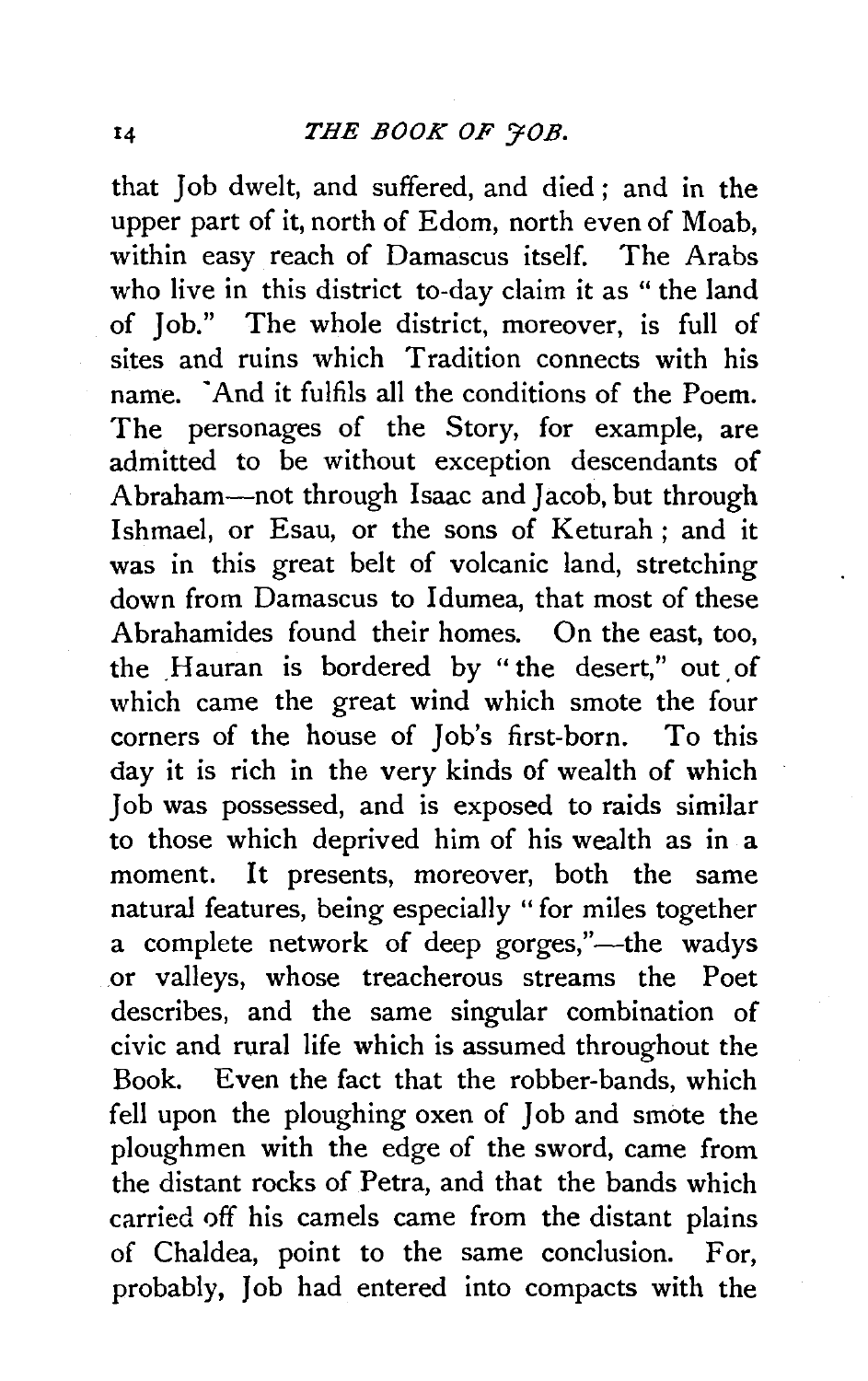that Job dwelt, and suffered, and died ; and in the upper part of it, north of Edom, north even of Moab, within easy reach of Damascus itself. The Arabs who live in this district to-day claim it as " the land of Job." The whole district, moreover, is full of sites and ruins which Tradition connects with his name. ·And it fulfils all the conditions of the Poem. The personages of the Story, for example, are admitted to be without exception descendants of Abraham-not through Isaac and Jacob, but through Ishmael, or Esau, or the sons of Keturah; and it was in this great belt of volcanic land, stretching down from Damascus to Idumea, that most of these Abrahamides found their homes. On the east, too, the Hauran is bordered by "the desert," out of which came the great wind which smote the four corners of the house of Job's first-born. To this day it is rich in the very kinds of wealth of which Job was possessed, and is exposed to raids similar to those which deprived him of his wealth as in a moment. It presents, moreover, both the same natural features, being especially " for miles together a complete network of deep gorges,"—the wadys .or valleys, whose treacherous streams the Poet describes, and the same singular combination of civic and rural life which is assumed throughout the Book. Even the fact that the robber-bands, which fell upon the ploughing oxen of Job and smote the ploughmen with the edge of the sword, came from the distant rocks of Petra, and that the bands which carried off his camels came from the distant plains of Chaldea, point to the same conclusion. For, probably, Job had entered into compacts with the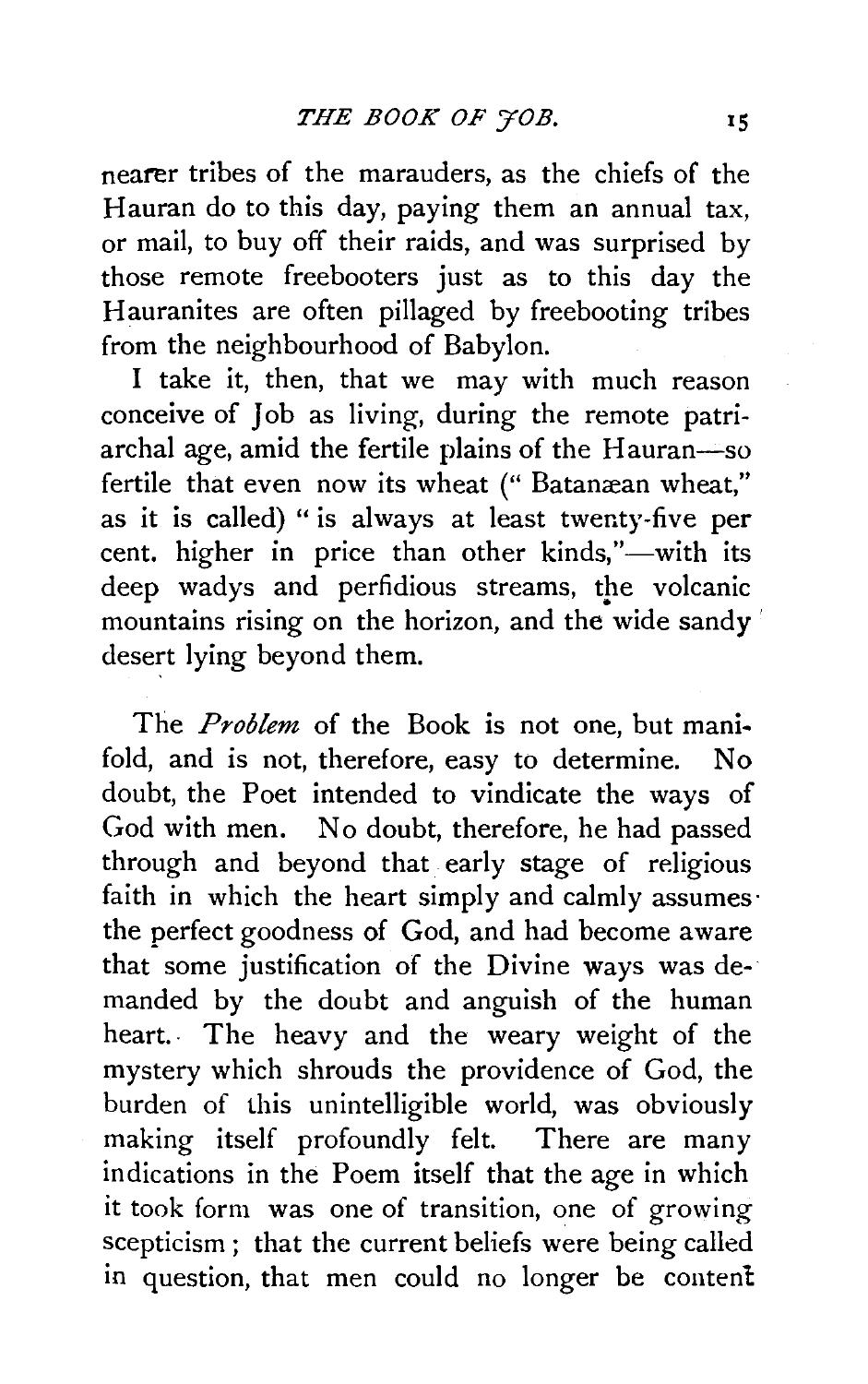nearer tribes of the marauders, as the chiefs of the Hauran do to this day, paying them an annual tax, or mail, to buy off their raids, and was surprised by those remote freebooters just as to this day the Hauranites are often pillaged by freebooting tribes from the neighbourhood of Babylon.

I take it, then, that we may with much reason conceive of Job as living, during the remote patriarchal age, amid the fertile plains of the Hauran-so fertile that even now its wheat (" Batanæan wheat," as it is called) " is always at least twenty-five per cent. higher in price than other kinds,"—with its deep wadys and perfidious streams, the volcanic mountains rising on the horizon, and the wide sandy desert lying beyond them.

The *Problem* of the Book is not one, but mani· fold, and is not, therefore, easy to determine. No doubt, the Poet intended to vindicate the ways of God with men. No doubt, therefore, he had passed through and beyond that early stage of religious faith in which the heart simply and calmly assumes· the perfect goodness of God, and had become aware that some justification of the Divine ways was demanded by the doubt and anguish of the human heart.. The heavy and the weary weight of the mystery which shrouds the providence of God, the burden of this unintelligible world, was obviously making itself profoundly felt. There are many indications in the Poem itself that the age in which it took form was one of transition, one of growing scepticism ; that the current beliefs were being called in question, that men could no longer be content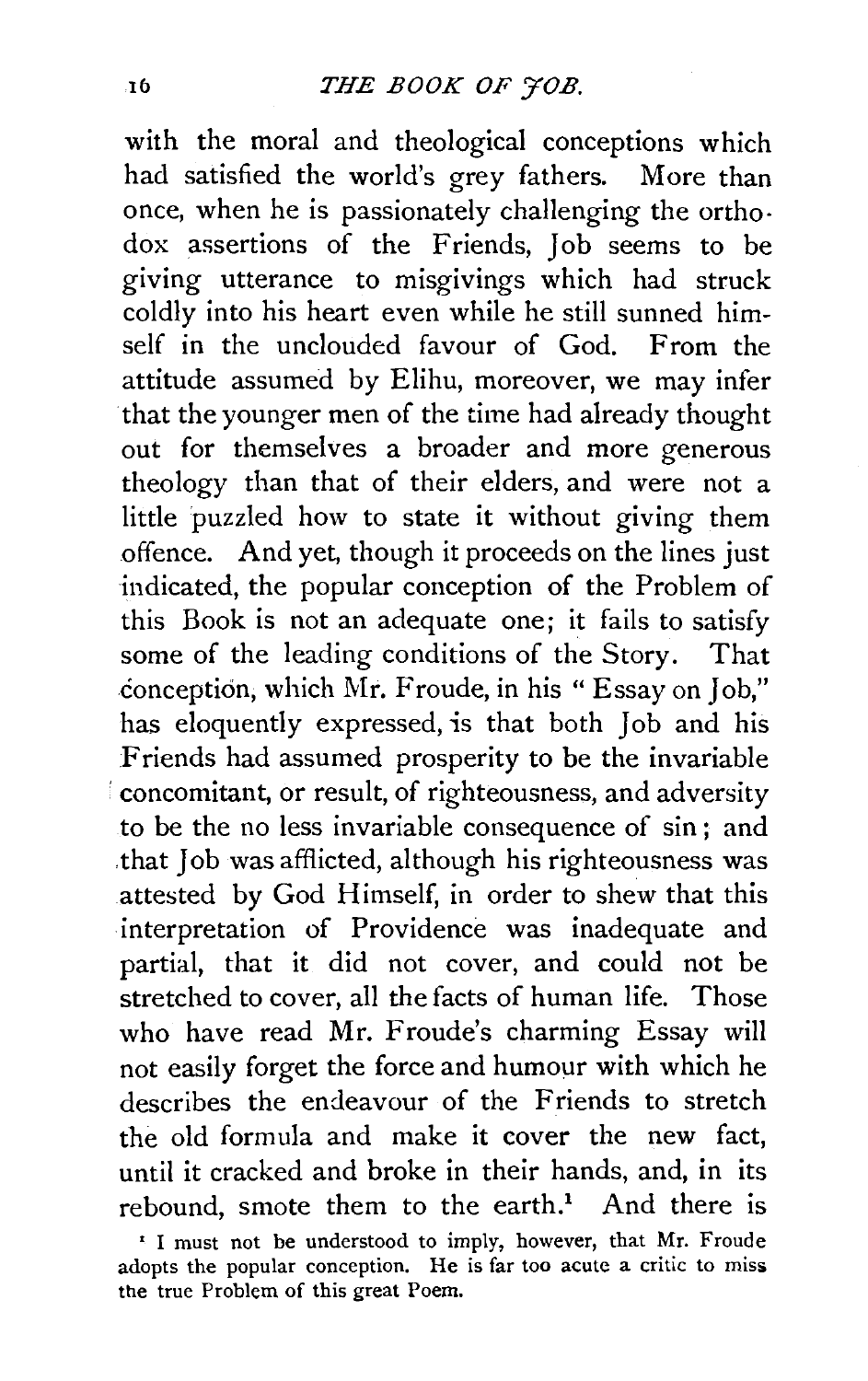with the moral and theological conceptions which had satisfied the world's grey fathers. More than once, when he is passionately challenging the ortho· dox assertions of the Friends, Job seems to be giving utterance to misgivings which had struck coldly into his heart even while he still sunned himself in the unclouded favour of God. From the attitude assumed by Elihu, moreover, we may infer that the younger men of the time had already thought out for themselves a broader and more generous theology than that of their elders, and were not a little puzzled how to state it without giving them offence. And yet, though it proceeds on the lines just indicated, the popular conception of the Problem of this Book is not an adequate one; it fails to satisfy some of the leading conditions of the Story. That conception, which Mr. Froude, in his "Essay on Job," has eloquently expressed, is that both Job and his Friends had assumed prosperity to be the invariable concomitant, or result, of righteousness, and adversity to be the no less invariable consequence of sin; and that Job was afflicted, although his righteousness was attested by God Himself, in order to shew that this interpretation of Providence was inadequate and partial, that it did not cover, and could not be stretched to cover, all the facts of human life. Those who have read Mr. Froude's charming Essay will not easily forget the force and humour with which he describes the endeavour of the Friends to stretch the old formula and make it cover the new fact, until it cracked and broke in their hands, and, in its rebound, smote them to the earth.<sup>1</sup> And there is <sup>1</sup> I must not be understood to imply, however, that Mr. Froude

adopts the popular conception. He is far too acute a critic to miss the true Problem of this great Poem.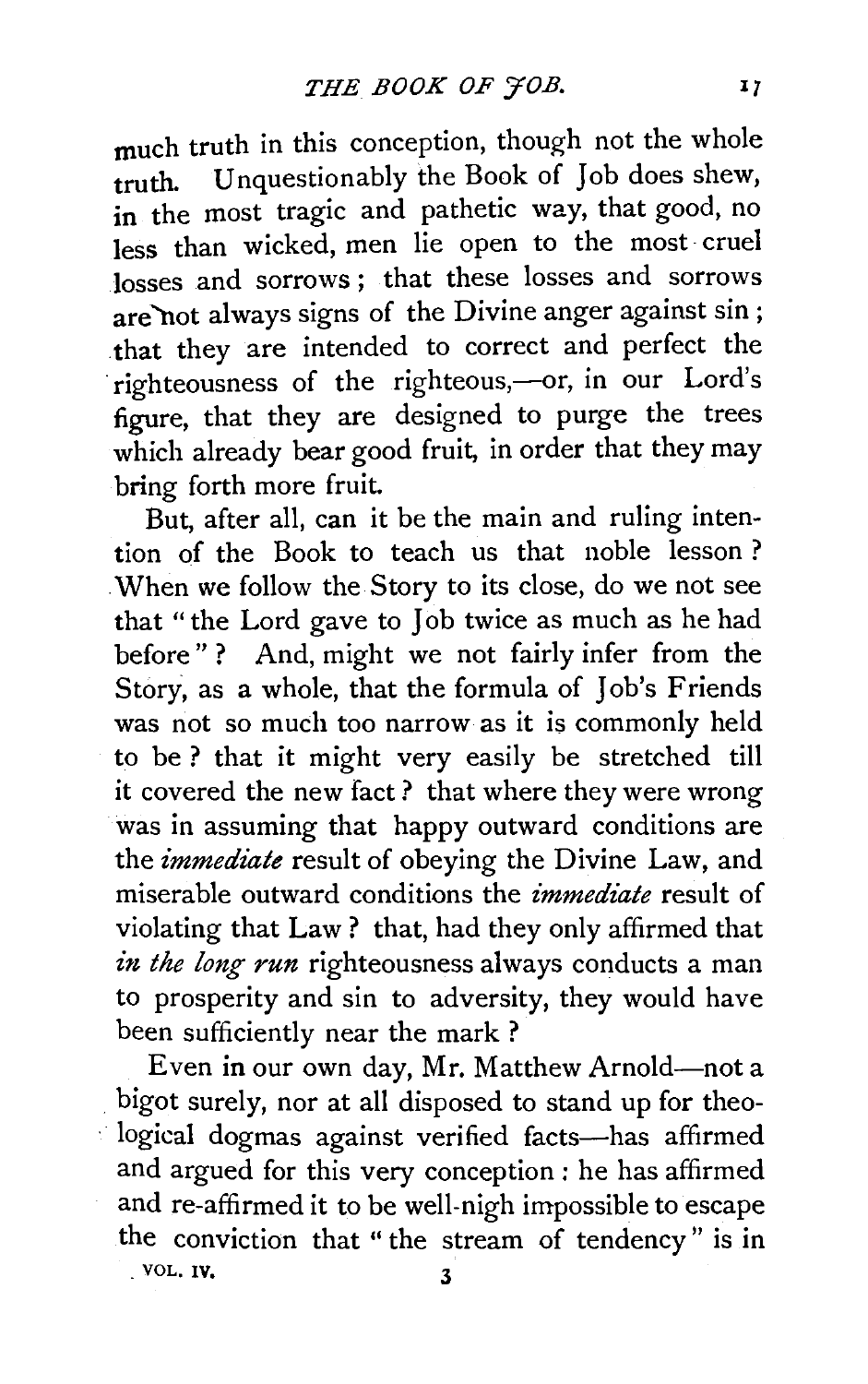much truth in this conception, though not the whole truth. Unquestionably the Book of Job does shew, in the most tragic and pathetic way, that good, no less than wicked, men lie open to the most cruel losses and sorrows ; that these losses and sorrows are "not always signs of the Divine anger against sin ; that they are intended to correct and perfect the righteousness of the righteous,-or, in our Lord's figure, that they are designed to purge the trees which already bear good fruit, in order that they may bring forth more fruit.

But, after all, can it be the main and ruling intention of the Book to teach us that noble lesson ? . When we follow the Story to its close, do we not see that "the Lord gave to Job twice as much as he had before"? And, might we not fairly infer from the Story, as a whole, that the formula of Job's Friends was not so much too narrow as it is commonly held to be ? that it might very easily be stretched till it covered the new fact? that where they were wrong was in assuming that happy outward conditions are the *immediate* result of obeying the Divine Law, and miserable outward conditions the *immediate* result of violating that Law ? that, had they only affirmed that in the long run righteousness always conducts a man to prosperity and sin to adversity, they would have been sufficiently near the mark ?

Even in our own day, Mr. Matthew Arnold-not a bigot surely, nor at all disposed to stand up for theological dogmas against verified facts-has affirmed and argued for this very conception ; he has affirmed and re-affirmed it to be well-nigh impossible to escape the conviction that " the stream of tendency" is in  $.$  VOL. IV,  $3$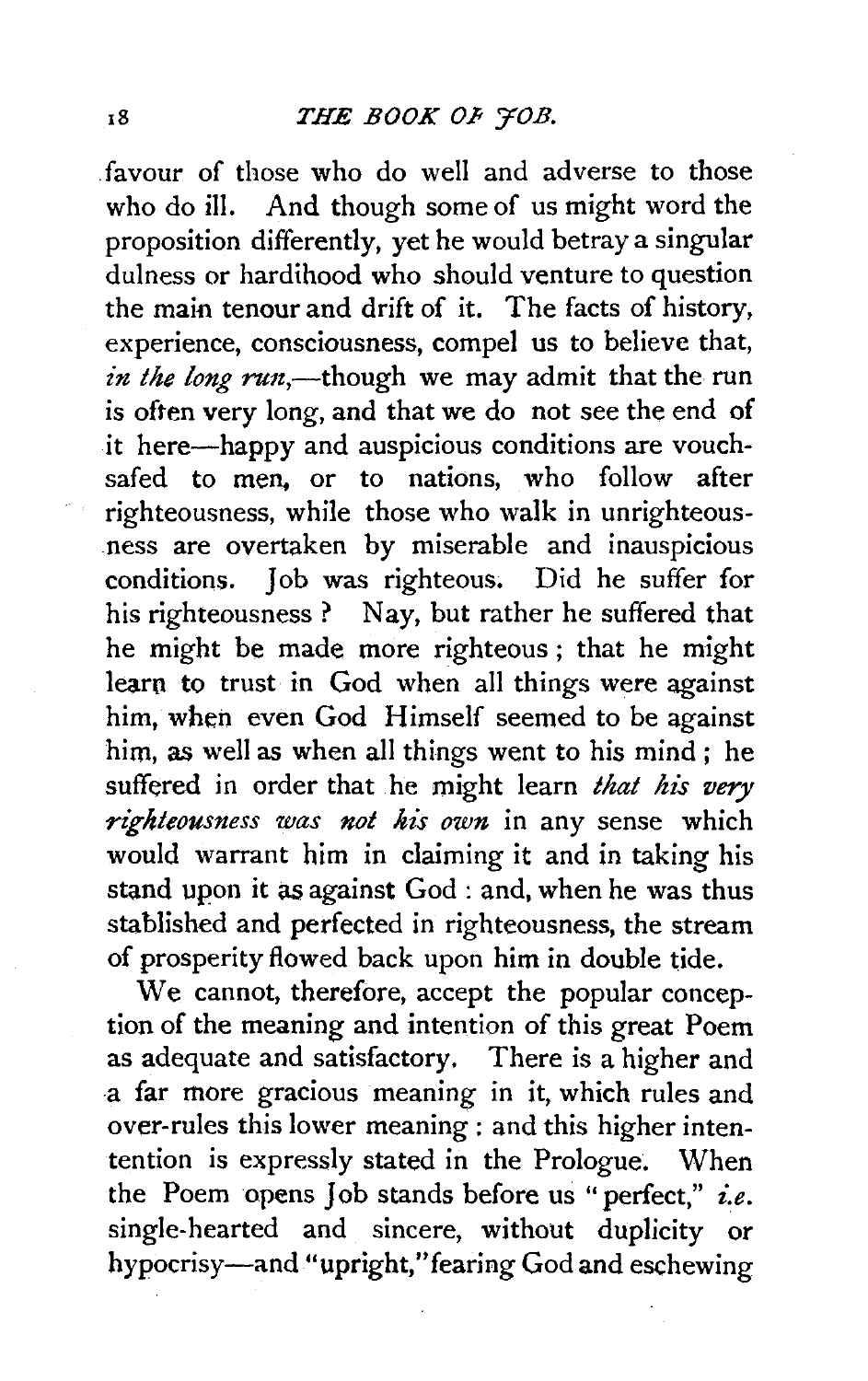. favour of those who do well and adverse to those who do ill. And though some of us might word the proposition differently, yet he would betray a singular dulness or hardihood who should venture to question the main tenour and drift of it. The facts of history, experience, consciousness, compel us to believe that, *in the long run*,—though we may admit that the run is often very long, and that we do not see the end of it here-happy and auspicious conditions are vouchsafed to men. or to nations, who follow after righteousness, while those who walk in unrighteousness are overtaken by miserable and inauspicious conditions. Job was righteous. Did he suffer for his righteousness ? Nay, but rather he suffered that he might be made more righteous ; that he might learn to trust in God when all things were against him, when even God Himself seemed to be against him, *as* well as when all things went to his mind ; he suffered in order that he might learn *that his very righteousness was not his own* in any sense which would warrant him in claiming it and in taking his stand upon it as against God : and, when he was thus stahlished and perfected in righteousness, the stream of prosperity flowed back upon him in double tide.

We cannot, therefore, accept the popular conception of the meaning and intention of this great Poem as adequate and satisfactory. There is a higher and a far more gracious meaning in it, which rules and over-rules this lower meaning : and this higher intentention is expressly stated in the Prologue. When the Poem opens Job stands before us "perfect," *i.e.*  single-hearted and sincere, without duplicity or hypocrisy-and "upright," fearing God and eschewing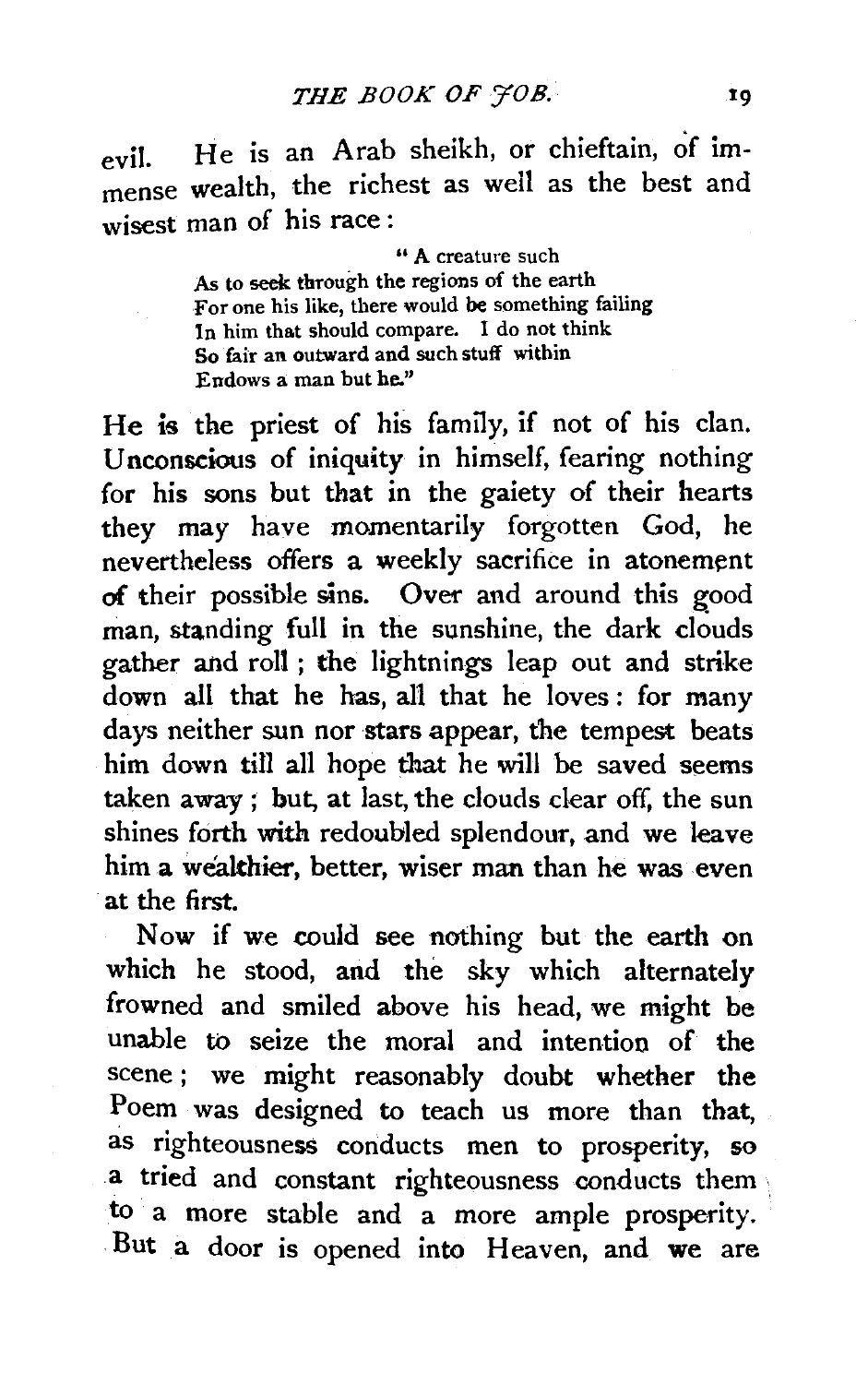evil. He is an Arab sheikh, or chieftain, of immense wealth, the richest as weil as the best and wisest man of his race:

> " A creature such As to seek through the regions of the earth For one his like, there would be something failing In him that should compare. I do not think So fair an outward and such stuff within Endows a man but he."

He is the priest of his family, if not of his clan. Unconscious of iniquity in himself, fearing nothing for his sons but that in the gaiety of their hearts they may have momentarily forgotten God, he nevertheless offers a weekly sacrifice in atonement of their possible sins. Over and around this good man, standing full in the sunshine, the dark clouds gather and roll ; the lightnings leap out and strike down all that he has, all that he loves : for many days neither sun nor stars appear, the tempest beats him down till all hope that he will be saved seems taken away ; but, at last, the clouds clear off, the sun shines forth with redoubled splendour, and we leave him a wealthier, better, wiser man than he was even at the first.

Now if we could see nothing but the earth on which he stood, and the sky which alternately frowned and smiled above his head, we might be unable to seize the moral and intention of the scene ; we might reasonably doubt whether the Poem was designed to teach us more than that, as righteousness conducts men to prosperity, so a tried and constant righteousness conducts them to a more stable and a more ample prosperity. But a door is opened into Heaven, and we are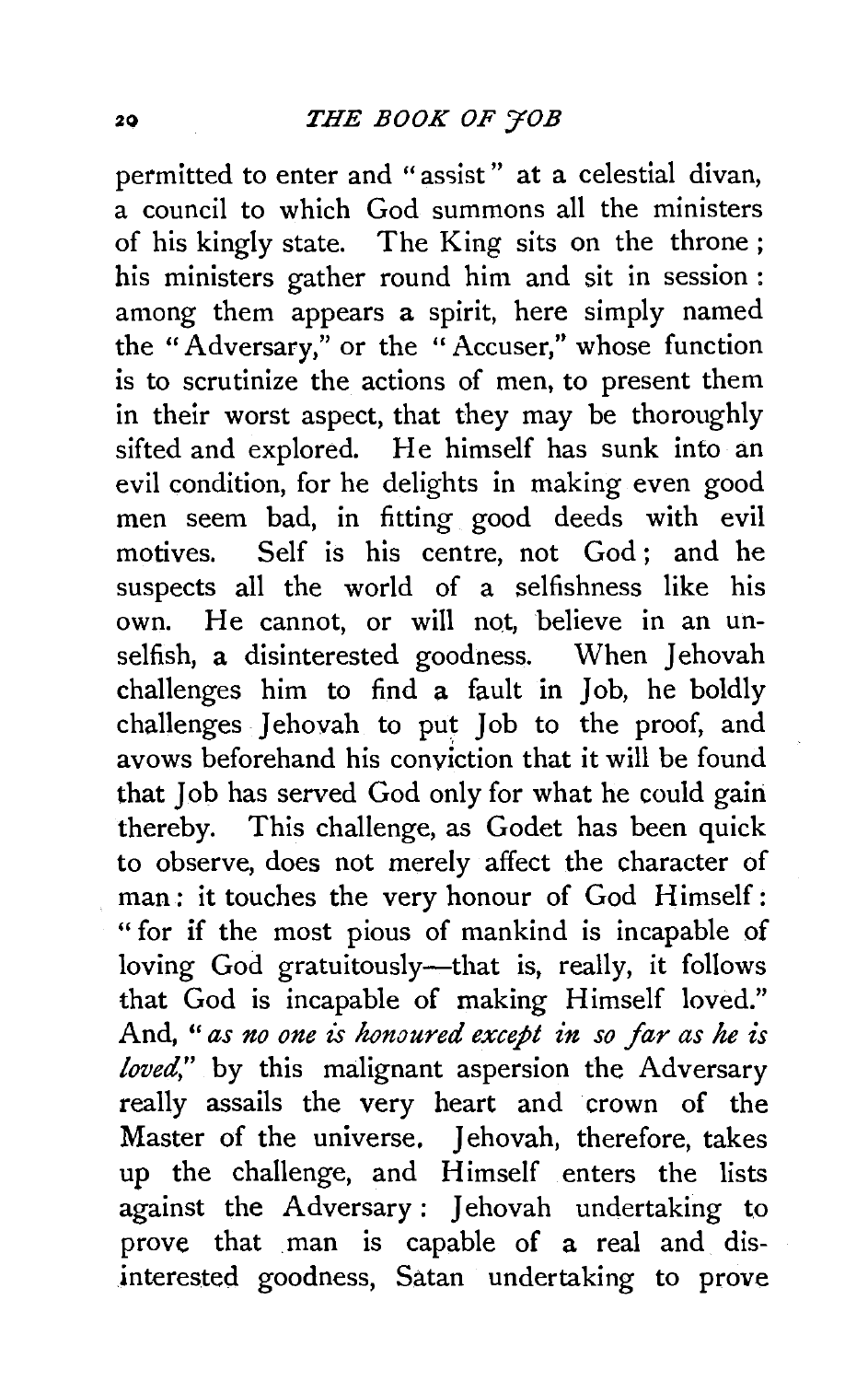permitted to enter and "assist" at a celestial divan, a council to which God summons all the ministers of his kingly state. The King sits on the throne; his ministers gather round him and sit in session: among them appears a spirit, here simply named the "Adversary," or the "Accuser," whose function is to scrutinize the actions of men, to present them in their worst aspect, that they may be thoroughly sifted and explored. He himself has sunk into an evil condition, for he delights in making even good men seem bad, in fitting good deeds with evil motives. Self is his centre, not God; and he suspects all the world of a selfishness like his own. He cannot, or will not, believe in an unselfish, a disinterested goodness. When Jehovah challenges him to find a fault in  $\overline{\text{lob}}$ , he boldly challenges Iehovah to put Iob to the proof, and avows beforehand his conviction that it will be found that Job has served God only for what he could gairi thereby. This challenge, as Godet has been quick to observe, does not merely affect the character of man: it touches the very honour of God Himself: " for if the most pious of mankind is incapable of loving God gratuitously-that is, really, it follows that God is incapable of making Himself loved." And, " *as no one* is *honoured except in so far as he is loved,"* by this malignant aspersion the Adversary really assails the very heart and crown of the Master of the universe. Jehovah, therefore, takes up the challenge, and Himself enters the lists against the Adversary: Jehovah undertaking to prove that man is capable of a real and disinterested goodness, Satan undertaking to prove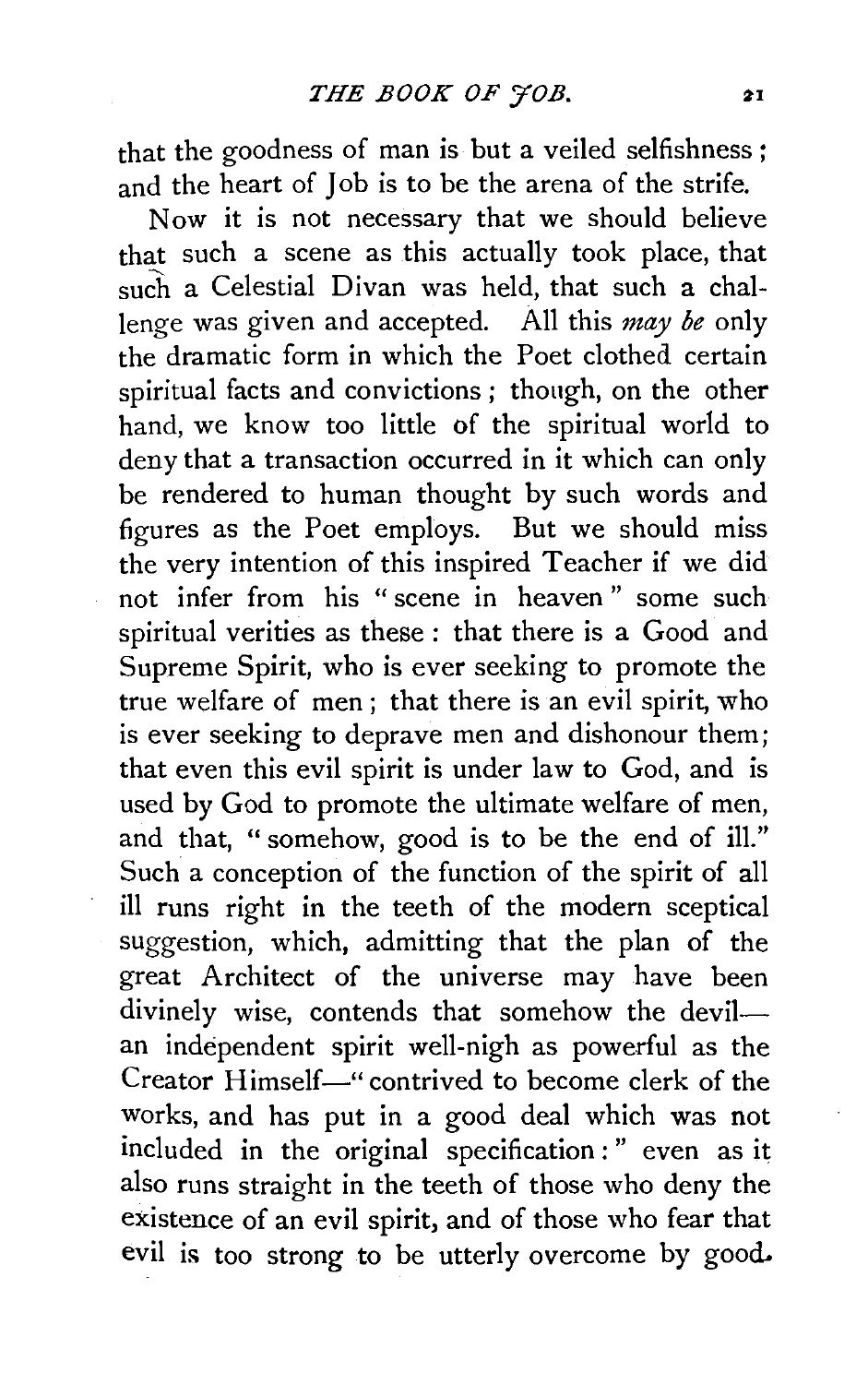that the goodness of man is but a veiled selfishness *:*  and the heart of Job is to be the arena of the strife.

Now it is not necessary that we should believe that such a scene as this actually took place, that such a Celestial Divan was held, that such a challenge was given and accepted. All this *may be* only the dramatic form in which the Poet clothed certain spiritual facts and convictions; though, on the other hand, we know too little of the spiritual world to deny that a transaction occurred in it which can only be rendered to human thought by such words and figures as the Poet employs. But we should miss the very intention of this inspired Teacher if we did not infer from his " scene in heaven " some such spiritual verities as these: that there is a Good and Supreme Spirit, who is ever seeking to promote the true welfare of men ; that there is an evil spirit, who is ever seeking to deprave men and dishonour them; that even this evil spirit is under law to God, and is used by God to promote the ultimate welfare of men, and that, " somehow, good is to be the end of ill." Such a conception of the function of the spirit of all ill runs right in the teeth of the modern sceptical suggestion, which, admitting that the plan of the great Architect of the universe may have been divinely wise, contends that somehow the devilan independent spirit well-nigh as powerful as the Creator Himself—" contrived to become clerk of the works, and has put in a good deal which was not included in the original specification:" even as it also runs straight in the teeth of those who deny the existence of an evil spirit, and of those who fear that evil is too strong to be utterly overcome by good.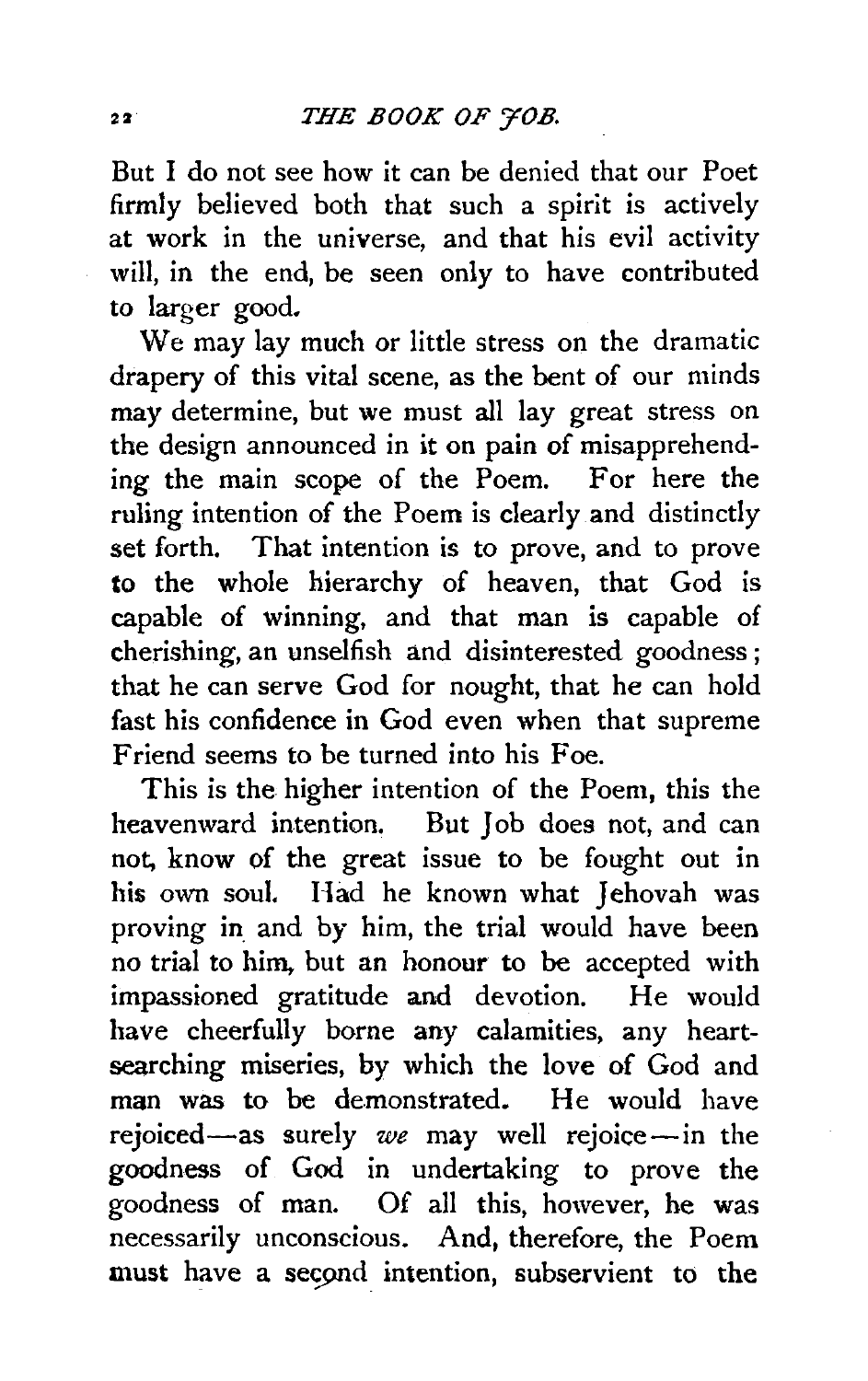But I do not see how it can be denied that our Poet firmly believed both that such a spirit is actively at work in the universe, and that his evil activity will, in the end, be seen only to have contributed to larger good.

We may lay much or little stress on the dramatic drapery of this vital scene, as the bent of our minds may determine, but we must all lay great stress on the design announced in it on pain of misapprehending the main scope of the Poem. For here the ruling intention of the Poem is clearly and distinctly set forth. That intention is to prove, and to prove to the whole hierarchy of heaven, that God is capable of winning, and that man is capable of cherishing, an unselfish and disinterested goodness ; that he can serve God for nought, that he can hold fast his confidence in God even when that supreme Friend seems to be turned into his Foe.

This is the higher intention of the Poem, this the heavenward intention. But Job does not, and can not, know of the great issue to be fought out in his own soul. Had he known what Jehovah was proving in and by him, the trial would have been no trial to him. but an honour to be accepted with impassioned gratitude and devotion. He would have cheerfully borne any calamities, any heartsearching miseries, by which the love of God and man was to be demonstrated. He would have rejoiced-as surely *we* may well rejoice-in the goodness of God in undertaking to prove the goodness of man. Of all this, however, he was necessarily unconscious. And, therefore, the Poem must have a second intention, subservient to the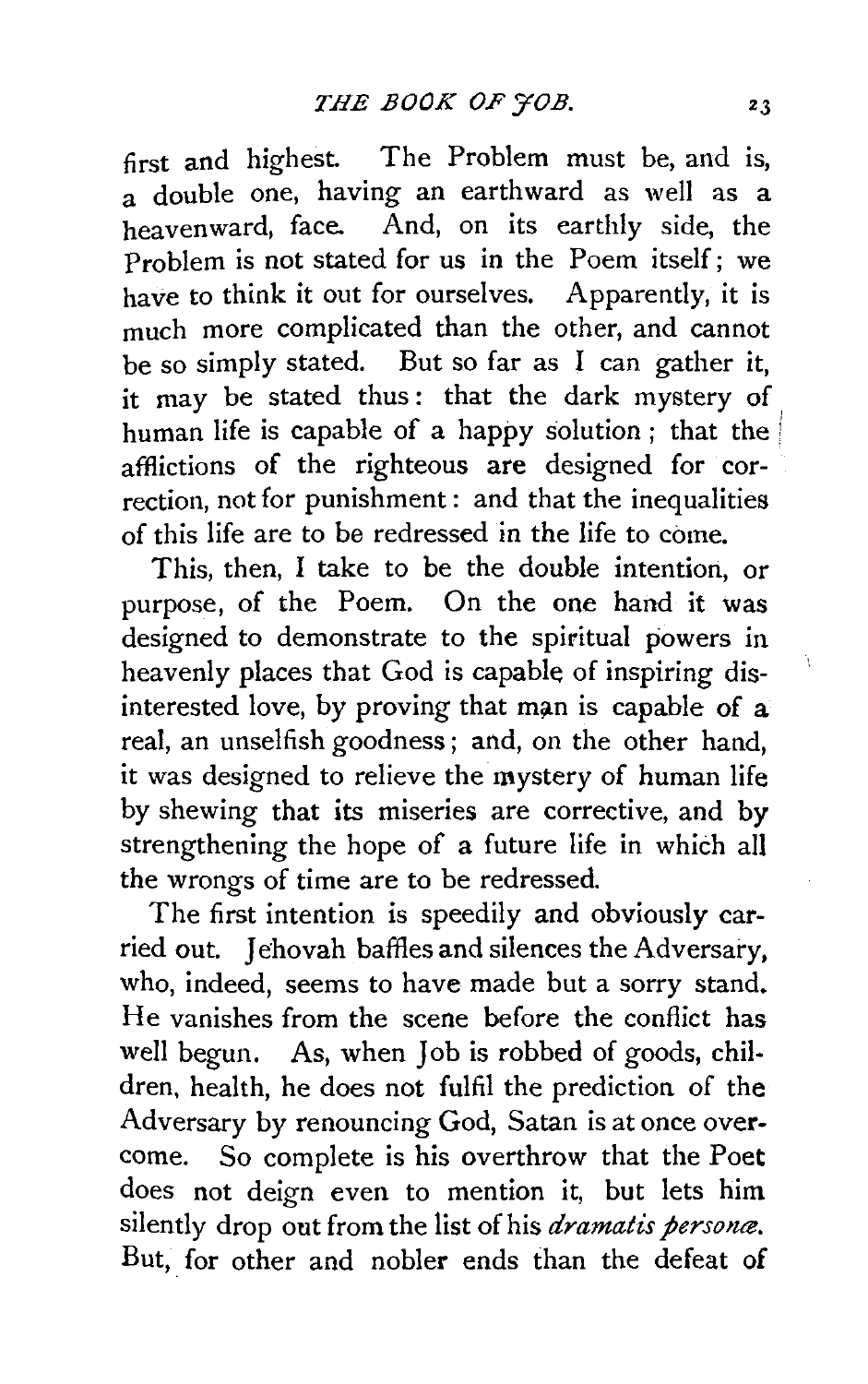first and highest. The Problem must be, and is, a double one, having an earthward as well as a heavenward, face. And, on its earthly side, the Problem is not stated for us in the Poem itself; we have to think it out for ourselves. Apparently, it is much more complicated than the other, and cannot be so simply stated. But so far as I can gather it, it may be stated thus: that the dark mystery of human life is capable of a happy solution ; that the *<sup>i</sup>* afflictions of the righteous are designed for correction, not for punishment: and that the inequalities of this life are to be redressed in the life to come.

This, then, I take to be the double intention, or purpose, of the Poem. On the one hand it was designed to demonstrate to the spiritual powers in heavenly places that God is capable of inspiring disinterested love, by proving that man is capable of a real, an unselfish goodness ; and, on the other hand, it was designed to relieve the mystery of human life by shewing that its miseries are corrective, and by strengthening the hope of a future life in which all the wrongs of time are to be redressed.

The first intention is speedily and obviously carried out. Jehovah baffles and silences the Adversary. who, indeed, seems to have made but a sorry stand. He vanishes from the scene before the conflict has well begun. As, when Job is robbed of goods, children, health, he does not fulfil the prediction of the Adversary by renouncing God, Satan is at once overcome. So complete is his overthrow that the Poet does not deign even to mention it, but lets him silently drop out from the list of his *dramatis persona*. But, for other and nobler ends than the defeat of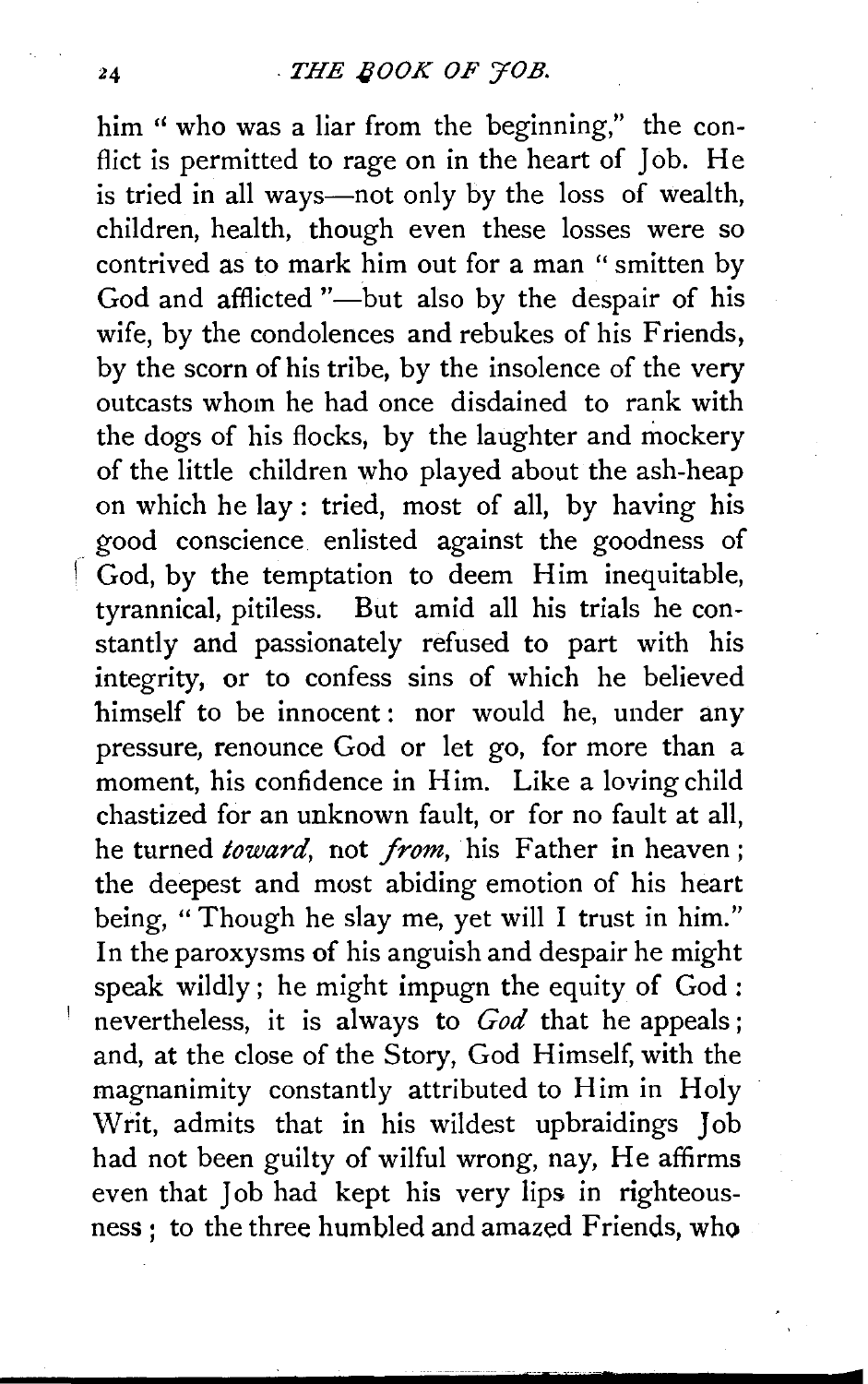him " who was a liar from the beginning," the conflict is permitted to rage on in the heart of Job. He is tried in all ways—not only by the loss of wealth, children, health, though even these losses were so contrived as to mark him out for a man " smitten by God and afflicted "-but also by the despair of his wife, by the condolences and rebukes of his Friends, by the scorn of his tribe, by the insolence of the very outcasts whom he had once disdained to rank with the dogs of his flocks, by the laughter and mockery of the little children who played about the ash-heap on which he lay : tried, most of all, by having his good conscience enlisted against the goodness of  $\int$  God, by the temptation to deem Him inequitable, tyrannical, pitiless. But amid all his trials he constantly and passionately refused to part with his integrity, or to confess sins of which he believed himself to be innocent: nor would he, under any pressure, renounce God or let go, for more than a moment, his confidence in Him. Like a loving child chastized for an unknown fault, or for no fault at all, he turned *toward,* not *from,* his Father in heaven ; the deepest and most abiding emotion of his heart being, "Though he slay me, yet will I trust in him." In the paroxysms of his anguish and despair he might speak wildly; he might impugn the equity of God: nevertheless, it is always to *God* that he appeals; and, at the close of the Story, God Himself, with the magnanimity constantly attributed to Him in Holy Writ, admits that in his wildest upbraidings Job had not been guilty of wilful wrong, nay, He affirms even that Job had kept his very lips in righteousness; to the three humbled and amazed Friends, who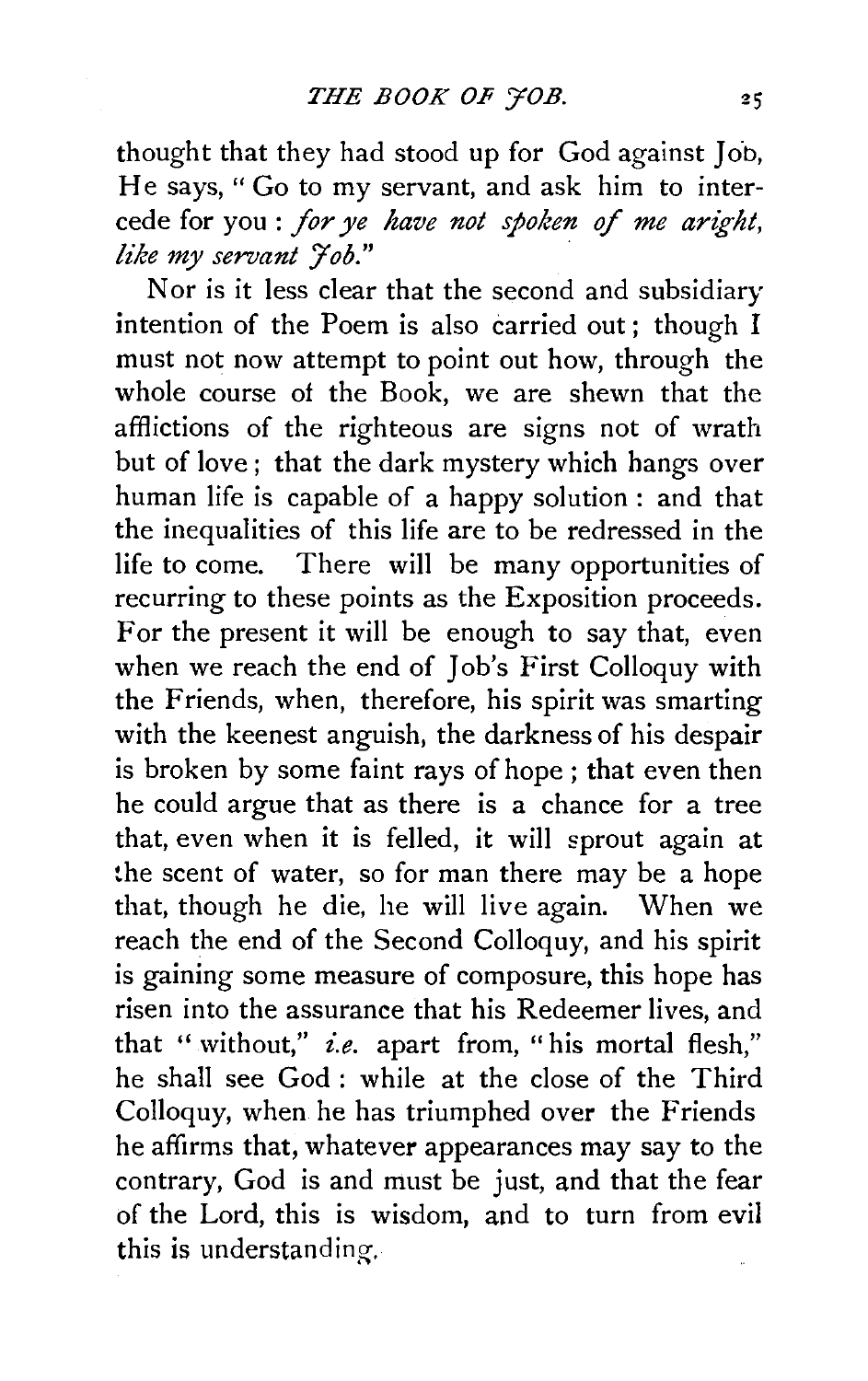thought that they had stood up for God against Job, He says, " Go to my servant, and ask him to intercede for you : *for ye have not spoken* of *me aright, like my servant J'ob."* ·

Nor is it less clear that the second and subsidiary intention of the Poem is also carried out; though I must not now attempt to point out how, through the whole course of the Book, we are shewn that the afflictions of the righteous are signs not of wrath but of love ; that the dark mystery which hangs over human life is capable of a happy solution : and that the inequalities of this life are to be redressed in the life to come. There will be many opportunities of recurring to these points as the Exposition proceeds. For the present it will be enough to say that, even when we reach the end of Job's First Colloquy with the Friends, when, therefore, his spirit was smarting with the keenest anguish, the darkness of his despair is broken by some faint rays of hope; that even then he could argue that as there is a chance for a tree that, even when it is felled, it will sprout again at the scent of water, so for man there may be a hope that, though he die, he will live again. When we reach the end of the Second Colloquy, and his spirit is gaining some measure of composure, this hope has risen into the assurance that his Redeemer lives, and that " without," *i.e.* apart from, " his mortal flesh," he shall see God : while at the close of the Third Colloquy, when he has triumphed over the Friends he affirms that, whatever appearances may say to the contrary, God is and must be just, and that the fear of the Lord, this is wisdom, and to turn from evil this is understanding.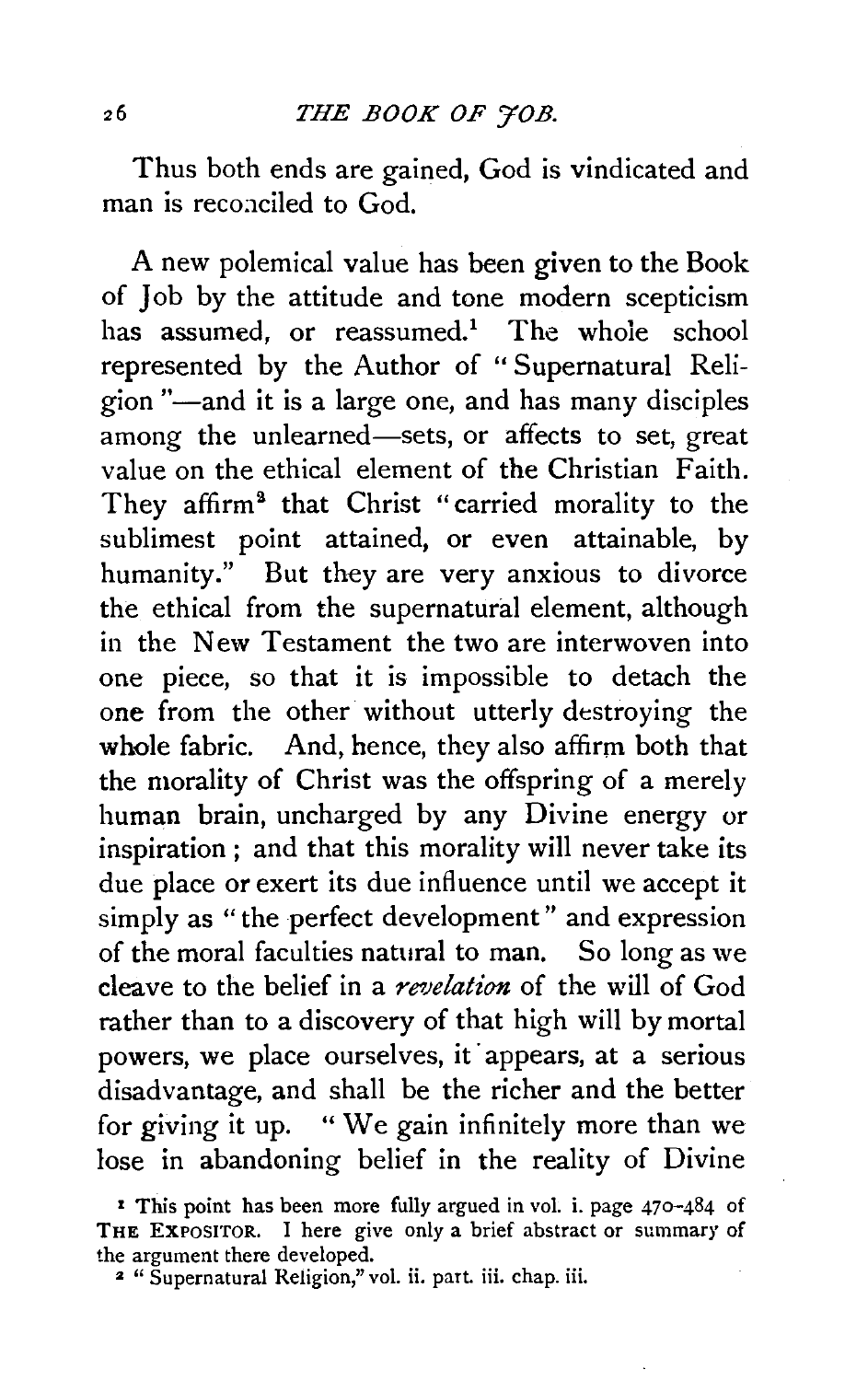Thus both ends are gained, God is vindicated and man is reconciled to God.

A new polemical value has been given to the Book of Job by the attitude and tone modern scepticism has assumed, or reassumed.<sup>1</sup> The whole school represented by the Author of " Supernatural Religion "-and it is a large one, and has many disciples among the unlearned—sets, or affects to set, great value on the ethical element of the Christian Faith. They affirm<sup>2</sup> that Christ "carried morality to the sublimest point attained, or even attainable, by humanity." But they are very anxious to divorce the ethical from the supernatural element, although in the New Testament the two are interwoven into one piece, so that it is impossible to detach the one from the other without utterly destroying the whole fabric. And, hence, they also affirm both that the morality of Christ was the offspring of a merely human brain, uncharged by any Divine energy or inspiration ; and that this morality will never take its due place or exert its due influence until we accept it simply as "the perfect development" and expression of the moral faculties natural to man. So long as we cleave to the belief in a *revelation* of the will of God rather than to a discovery of that high will by mortal powers, we place ourselves, it appears, at a serious disadvantage, and shall be the richer and the better for giving it up. " We gain infinitely more than we lose in abandoning belief in the reality of Divine

r This point has been more fully argued in vol. i. page 470-484 of THE EXPOSITOR. I here give only a brief abstract or summary of the argument there developed.

<sup>:</sup>z " Supernatural Religion," vol. ii. part. iii. chap. iii.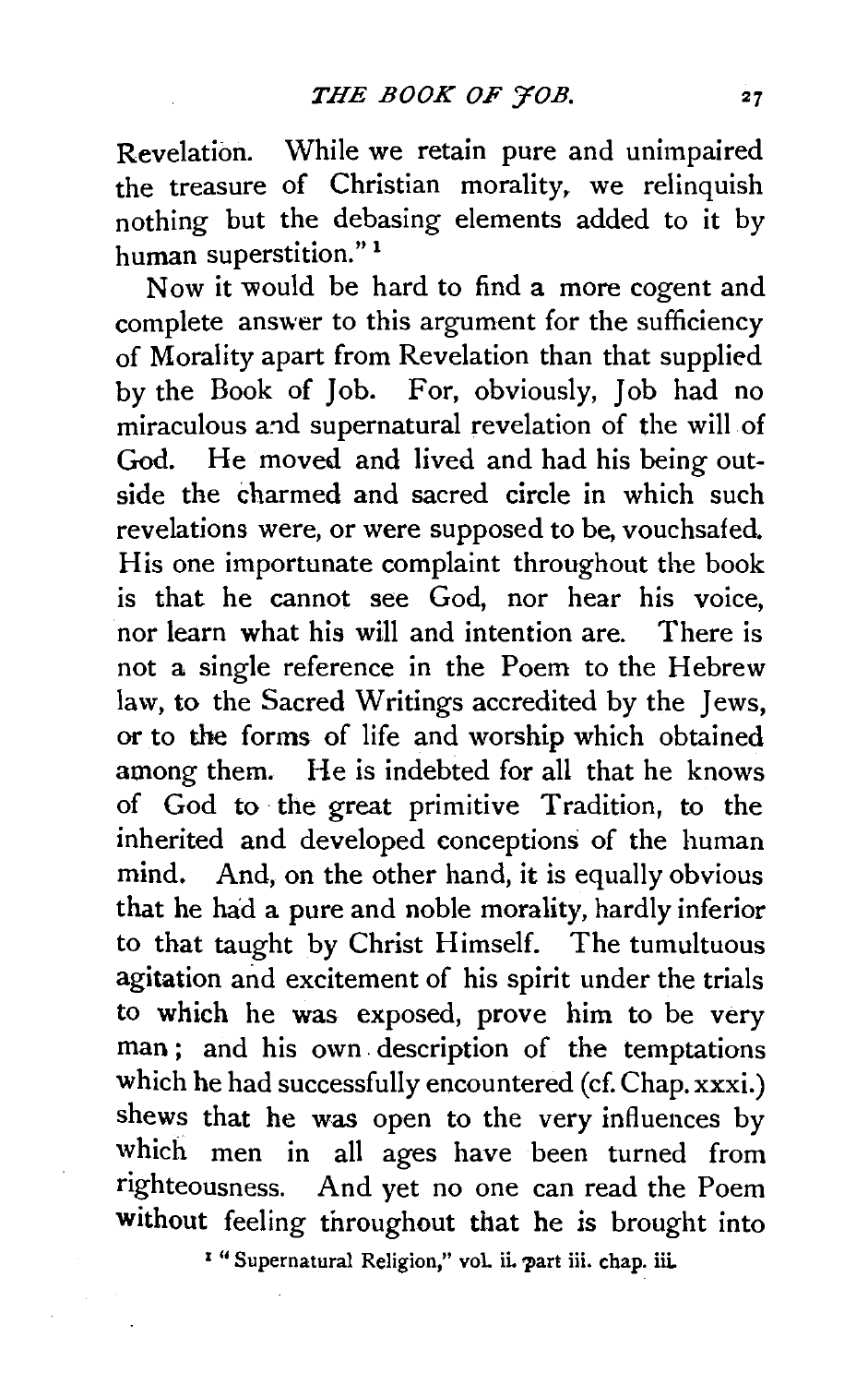Revelation. While we retain pure and unimpaired the treasure of Christian morality, we relinquish nothing but the debasing elements added to it by human superstition." <sup>1</sup>

Now it would be hard to find a more cogent and complete answer to this argument for the sufficiency of Morality apart from Revelation than that supplied by the Book of Job. For, obviously, Job had no miraculous and supernatural revelation of the will of God. He moved and lived and had his being outside the charmed and sacred circle in which such revelations were, or were supposed to be, vouchsafed. His one importunate complaint throughout the book is that he cannot see God, nor hear his voice, nor learn what his will and intention are. There is not a single reference in the Poem to the Hebrew law, to the Sacred Writings accredited by the Jews, or to the forms of life and worship which obtained among them. He is indebted for all that he knows of God to the great primitive Tradition, to the inherited and developed conceptions of the human mind. And, on the other hand, it is equally obvious that he had a pure and noble morality, hardly inferior to that taught by Christ Himself. The tumultuous agitation and excitement of his spirit under the trials to which he was exposed, prove him to be very man; and his own description of the temptations which he had successfully encountered (cf. Chap. xxxi.) shews that he was open to the very influences by which men in all ages have been turned from righteousness. And yet no one can read the Poem without feeling throughout that he is brought into

<sup>1</sup> "Supernatural Religion," vol. ii. part iii. chap. iii.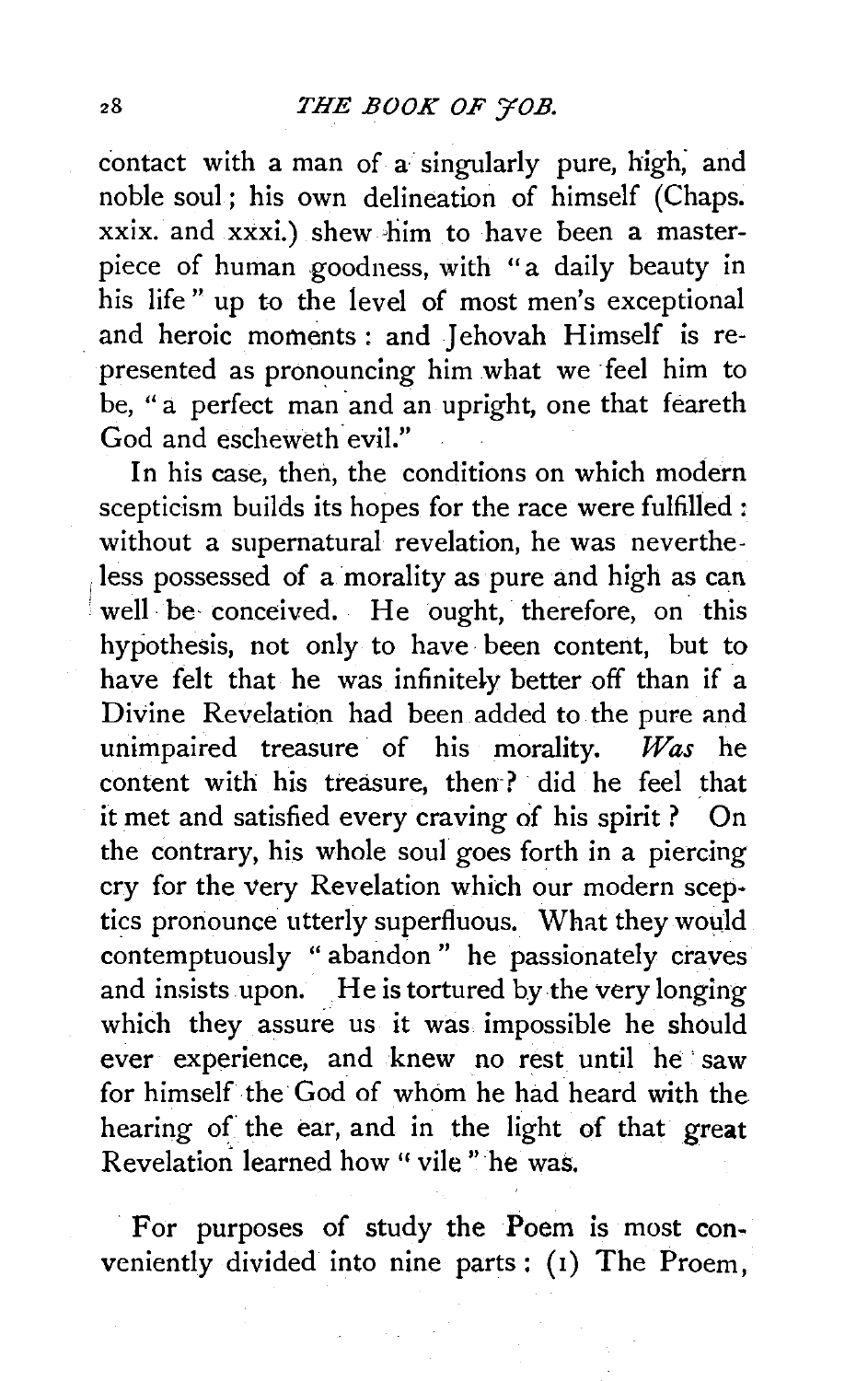contact with a man of a singularly pure, high, and noble soul; his own delineation of himself (Chaps. xxix. and xxxi.) shew him to have been a masterpiece of human goodness, with "a daily beauty in his life" up to the level of most men's exceptional . and heroic moments: and Jehovah Himself is represented as pronouncing him what we feel him to be, "a perfect man and an upright, one that feareth God and escheweth evil."

In his case, then, the conditions on which modern scepticism builds its hopes for the race were fulfilled : without a supernatural revelation, he was neverthe-1less possessed of a morality as pure and high as can well be conceived. He ought, therefore, on this hypothesis, not only to have· been content, but to have felt that he was infinitely better off than if a Divine Revelation had been added to the pure and unimpaired treasure· of his morality. *Was* he content with his treasure, then·? did he feel that it met and satisfied every craving of his spirit? On the contrary, his whole soul goes forth in a piercing cry for the very Revelation which our modern sceptics pronounce utterly superfluous. What they wouJd contemptuously " abandon " he passionately craves and insists upon. He is tortured by the very longing which they assure us it was impossible he should ever experience, and knew no rest until he saw for himself the God of whom he had heard with the hearing of the ear, and in the light of that great Revelation learned how " vile " he was.

For purposes of study the Poem is most conveniently divided into nine parts : (1) The Proem,